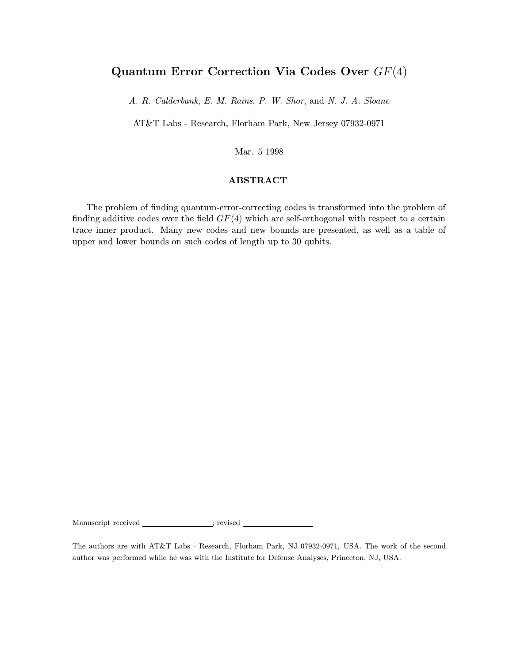# Quantum Error Correction Via Codes Over GF(4)

A. R. Calderbank, E. M. Rains, P. W. Shor, and N. J. A. Sloane

AT&T Labs - Research, Florham Park, New Jersey 07932-0971

Mar. 5 1998

### ABSTRACT

The problem of finding quantum-error-correcting codes is transformed into the problem of finding additive codes over the field  $GF(4)$  which are self-orthogonal with respect to a certain trace inner product. Many new codes and new bounds are presented, as well as a table of upper and lower bounds on such codes of length up to 30 qubits.

Manuscript received \_\_\_\_\_\_\_\_\_\_\_\_\_\_; revised \_

The authors are with AT&T Labs - Research, Florham Park, NJ 07932-0971, USA. The work of the second author was performed while he was with the Institute for Defense Analyses, Princeton, NJ, USA.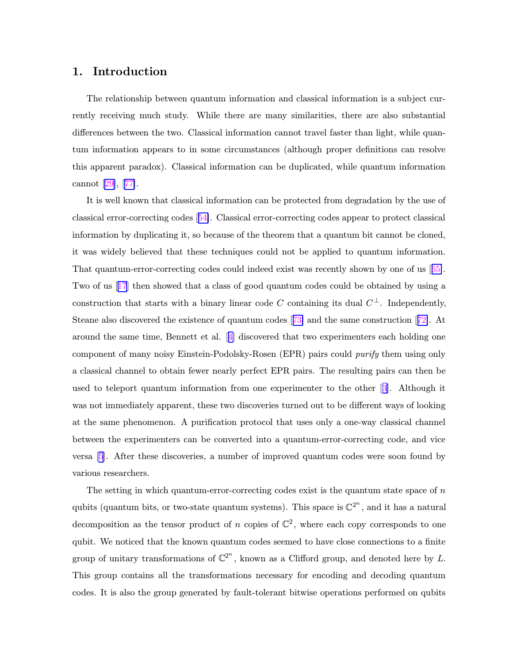## 1. Introduction

The relationship between quantum information and classical information is a subject currently receiving much study. While there are many similarities, there are also substantial differences between the two. Classical information cannot travel faster than light, while quantum information appears to in some circumstances (although proper definitions can resolve this apparent paradox). Classical information can be duplicated, while quantum information cannot [\[29\]](#page-43-0), [[77\]](#page-46-0).

It is well known that classical information can be protected from degradation by the use of classical error-correcting codes [[54\]](#page-45-0). Classical error-correcting codes appear to protect classical information by duplicating it, so because of the theorem that a quantum bit cannot be cloned, it was widely believed that these techniques could not be applied to quantum information. That quantum-error-correcting codes could indeed exist was recently shown by one of us [[65\]](#page-45-0). Two of us [[17](#page-42-0)] then showed that a class of good quantum codes could be obtained by using a construction that starts with a binary linear code C containing its dual  $C^{\perp}$ . Independently, Steane also discovered the existence of quantum codes [[73\]](#page-46-0) and the same construction [[72\]](#page-46-0). At around the same time, Bennett et al. [[4\]](#page-41-0) discovered that two experimenters each holding one component of many noisy Einstein-Podolsky-Rosen (EPR) pairs could purify them using only a classical channel to obtain fewer nearly perfect EPR pairs. The resulting pairs can then be used to teleport quantum information from one experimenter to the other [[3\]](#page-41-0). Although it was not immediately apparent, these two discoveries turned out to be different ways of looking at the same phenomenon. A purification protocol that uses only a one-way classical channel between the experimenters can be converted into a quantum-error-correcting code, and vice versa [[5](#page-41-0)]. After these discoveries, a number of improved quantum codes were soon found by various researchers.

The setting in which quantum-error-correcting codes exist is the quantum state space of  $n$ qubits (quantum bits, or two-state quantum systems). This space is  $\mathbb{C}^{2^n}$ , and it has a natural decomposition as the tensor product of n copies of  $\mathbb{C}^2$ , where each copy corresponds to one qubit. We noticed that the known quantum codes seemed to have close connections to a finite group of unitary transformations of  $\mathbb{C}^{2^n}$ , known as a Clifford group, and denoted here by L. This group contains all the transformations necessary for encoding and decoding quantum codes. It is also the group generated by fault-tolerant bitwise operations performed on qubits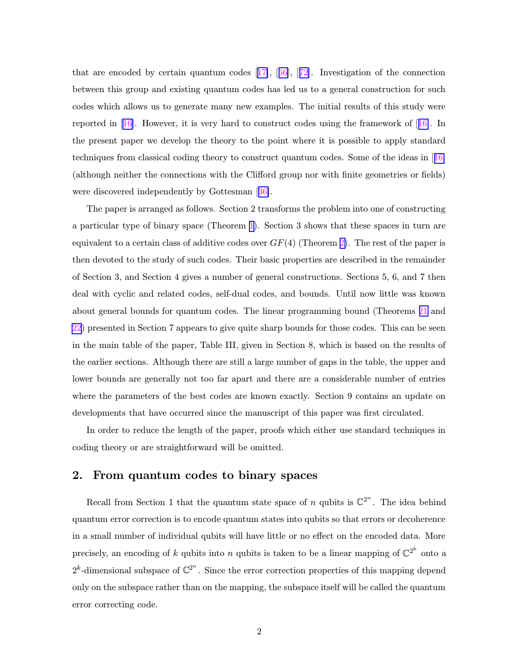that are encoded by certain quantum codes [[17\]](#page-42-0), [[66](#page-45-0)], [[72](#page-46-0)]. Investigation of the connection between this group and existing quantum codes has led us to a general construction for such codes which allows us to generate many new examples. The initial results of this study were reported in  $[16]$  $[16]$ . However, it is very hard to construct codes using the framework of  $[16]$ . In the present paper we develop the theory to the point where it is possible to apply standard techniques from classical coding theory to construct quantum codes. Some of the ideas in [[16\]](#page-42-0) (although neither the connections with the Clifford group nor with finite geometries or fields) were discovered independently by Gottesman [[36\]](#page-43-0).

The paper is arranged as follows. Section 2 transforms the problem into one of constructing a particular type of binary space (Theorem [1\)](#page-4-0). Section 3 shows that these spaces in turn are equivalent to a certain class of additive codes over  $GF(4)$  (Theorem [2\)](#page-10-0). The rest of the paper is then devoted to the study of such codes. Their basic properties are described in the remainder of Section 3, and Section 4 gives a number of general constructions. Sections 5, 6, and 7 then deal with cyclic and related codes, self-dual codes, and bounds. Until now little was known about general bounds for quantum codes. The linear programming bound (Theorems [21](#page-26-0) and [22](#page-27-0)) presented in Section 7 appears to give quite sharp bounds for those codes. This can be seen in the main table of the paper, Table III, given in Section 8, which is based on the results of the earlier sections. Although there are still a large number of gaps in the table, the upper and lower bounds are generally not too far apart and there are a considerable number of entries where the parameters of the best codes are known exactly. Section 9 contains an update on developments that have occurred since the manuscript of this paper was first circulated.

In order to reduce the length of the paper, proofs which either use standard techniques in coding theory or are straightforward will be omitted.

## 2. From quantum codes to binary spaces

Recall from Section 1 that the quantum state space of n qubits is  $\mathbb{C}^{2^n}$ . The idea behind quantum error correction is to encode quantum states into qubits so that errors or decoherence in a small number of individual qubits will have little or no effect on the encoded data. More precisely, an encoding of k qubits into n qubits is taken to be a linear mapping of  $\mathbb{C}^{2^k}$  onto a  $2^k$ -dimensional subspace of  $\mathbb{C}^{2^n}$ . Since the error correction properties of this mapping depend only on the subspace rather than on the mapping, the subspace itself will be called the quantum error correcting code.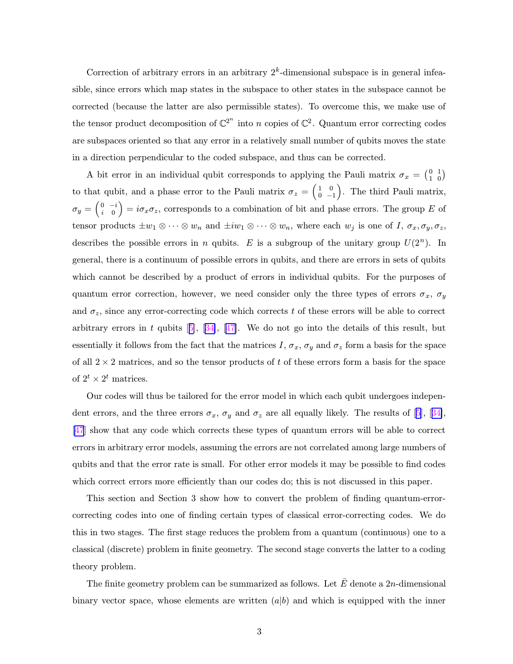Correction of arbitrary errors in an arbitrary  $2<sup>k</sup>$ -dimensional subspace is in general infeasible, since errors which map states in the subspace to other states in the subspace cannot be corrected (because the latter are also permissible states). To overcome this, we make use of the tensor product decomposition of  $\mathbb{C}^{2^n}$  into n copies of  $\mathbb{C}^2$ . Quantum error correcting codes are subspaces oriented so that any error in a relatively small number of qubits moves the state in a direction perpendicular to the coded subspace, and thus can be corrected.

A bit error in an individual qubit corresponds to applying the Pauli matrix  $\sigma_x = \begin{pmatrix} 0 \\ 1 \end{pmatrix}$ 1 1  $\binom{1}{0}$ to that qubit, and a phase error to the Pauli matrix  $\sigma_z = \begin{pmatrix} 1 \\ 0 \end{pmatrix}$ 0 0 −1 . The third Pauli matrix,  $\sigma_y=\left(\begin{smallmatrix} 0 \ 0 \ i \end{smallmatrix}\right)$  $\begin{pmatrix} 0 & -i \\ i & 0 \end{pmatrix} = i\sigma_x \sigma_z$ , corresponds to a combination of bit and phase errors. The group E of tensor products  $\pm w_1 \otimes \cdots \otimes w_n$  and  $\pm iw_1 \otimes \cdots \otimes w_n$ , where each  $w_j$  is one of  $I, \sigma_x, \sigma_y, \sigma_z$ , describes the possible errors in n qubits. E is a subgroup of the unitary group  $U(2^n)$ . In general, there is a continuum of possible errors in qubits, and there are errors in sets of qubits which cannot be described by a product of errors in individual qubits. For the purposes of quantum error correction, however, we need consider only the three types of errors  $\sigma_x$ ,  $\sigma_y$ and  $\sigma_z$ , since any error-correcting code which corrects t of these errors will be able to correct arbitrary errors in t qubits  $[5]$  $[5]$ ,  $[34]$  $[34]$ ,  $[47]$  $[47]$ . We do not go into the details of this result, but essentially it follows from the fact that the matrices I,  $\sigma_x$ ,  $\sigma_y$  and  $\sigma_z$  form a basis for the space of all  $2 \times 2$  matrices, and so the tensor products of t of these errors form a basis for the space of  $2^t \times 2^t$  matrices.

Our codes will thus be tailored for the error model in which each qubit undergoes independent errors, and the three errors  $\sigma_x$ ,  $\sigma_y$  and  $\sigma_z$  are all equally likely. The results of [[5](#page-41-0)], [[34\]](#page-43-0), [\[47](#page-44-0)] show that any code which corrects these types of quantum errors will be able to correct errors in arbitrary error models, assuming the errors are not correlated among large numbers of qubits and that the error rate is small. For other error models it may be possible to find codes which correct errors more efficiently than our codes do; this is not discussed in this paper.

This section and Section 3 show how to convert the problem of finding quantum-errorcorrecting codes into one of finding certain types of classical error-correcting codes. We do this in two stages. The first stage reduces the problem from a quantum (continuous) one to a classical (discrete) problem in finite geometry. The second stage converts the latter to a coding theory problem.

The finite geometry problem can be summarized as follows. Let  $\overline{E}$  denote a 2n-dimensional binary vector space, whose elements are written  $(a|b)$  and which is equipped with the inner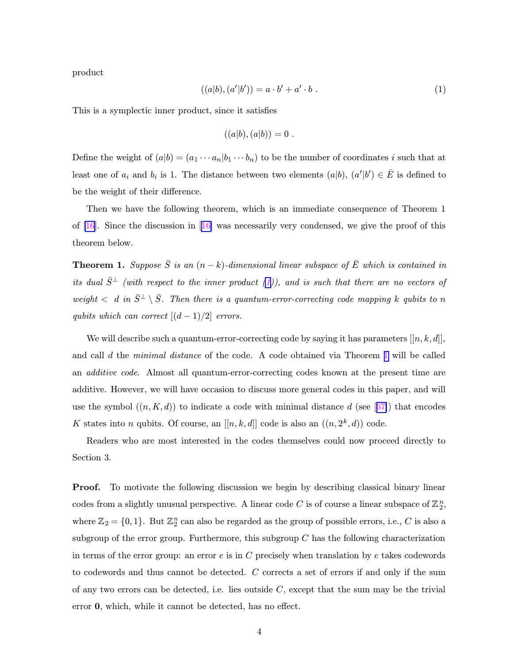<span id="page-4-0"></span>product

$$
((a|b), (a'|b')) = a \cdot b' + a' \cdot b . \tag{1}
$$

This is a symplectic inner product, since it satisfies

$$
((a|b),(a|b))=0.
$$

Define the weight of  $(a|b) = (a_1 \cdots a_n | b_1 \cdots b_n)$  to be the number of coordinates i such that at least one of  $a_i$  and  $b_i$  is 1. The distance between two elements  $(a|b)$ ,  $(a'|b') \in \overline{E}$  is defined to be the weight of their difference.

Then we have the following theorem, which is an immediate consequence of Theorem 1 of  $[16]$  $[16]$ . Since the discussion in  $[16]$  $[16]$  was necessarily very condensed, we give the proof of this theorem below.

**Theorem 1.** Suppose  $\overline{S}$  is an  $(n - k)$ -dimensional linear subspace of  $\overline{E}$  which is contained in its dual  $\bar{S}^{\perp}$  (with respect to the inner product (1)), and is such that there are no vectors of weight  $\langle d \text{ in } \bar{S}^{\perp} \setminus \bar{S}$ . Then there is a quantum-error-correcting code mapping k qubits to n qubits which can correct  $[(d-1)/2]$  errors.

We will describe such a quantum-error-correcting code by saying it has parameters  $[[n, k, d]]$ , and call d the minimal distance of the code. A code obtained via Theorem 1 will be called an additive code. Almost all quantum-error-correcting codes known at the present time are additive. However, we will have occasion to discuss more general codes in this paper, and will use the symbol  $((n, K, d))$  to indicate a code with minimal distance d (see [[67\]](#page-45-0)) that encodes K states into n qubits. Of course, an  $[[n, k, d]]$  code is also an  $((n, 2<sup>k</sup>, d))$  code.

Readers who are most interested in the codes themselves could now proceed directly to Section 3.

**Proof.** To motivate the following discussion we begin by describing classical binary linear codes from a slightly unusual perspective. A linear code C is of course a linear subspace of  $\mathbb{Z}_2^n$ , where  $\mathbb{Z}_2 = \{0, 1\}$ . But  $\mathbb{Z}_2^n$  can also be regarded as the group of possible errors, i.e., C is also a subgroup of the error group. Furthermore, this subgroup  $C$  has the following characterization in terms of the error group: an error  $e$  is in  $C$  precisely when translation by  $e$  takes codewords to codewords and thus cannot be detected. C corrects a set of errors if and only if the sum of any two errors can be detected, i.e. lies outside  $C$ , except that the sum may be the trivial error 0, which, while it cannot be detected, has no effect.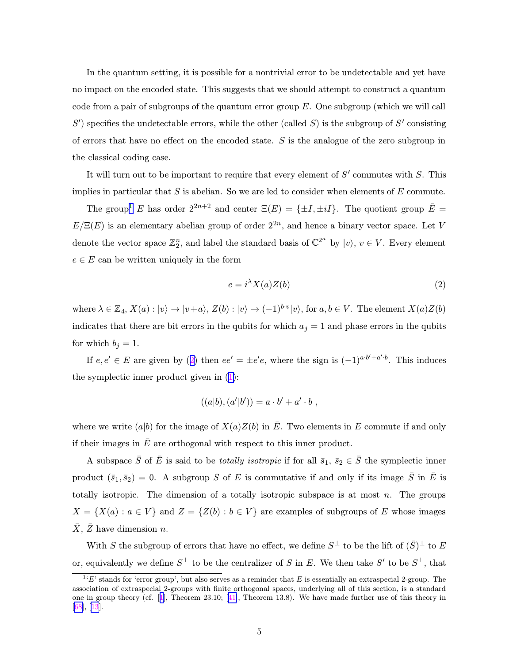In the quantum setting, it is possible for a nontrivial error to be undetectable and yet have no impact on the encoded state. This suggests that we should attempt to construct a quantum code from a pair of subgroups of the quantum error group  $E$ . One subgroup (which we will call  $S'$ ) specifies the undetectable errors, while the other (called S) is the subgroup of  $S'$  consisting of errors that have no effect on the encoded state.  $S$  is the analogue of the zero subgroup in the classical coding case.

It will turn out to be important to require that every element of  $S'$  commutes with  $S$ . This implies in particular that  $S$  is abelian. So we are led to consider when elements of  $E$  commute.

The group<sup>1</sup> E has order  $2^{2n+2}$  and center  $\Xi(E) = {\pm I, \pm iI}.$  The quotient group  $\overline{E} =$  $E/\Xi(E)$  is an elementary abelian group of order  $2^{2n}$ , and hence a binary vector space. Let V denote the vector space  $\mathbb{Z}_2^n$ , and label the standard basis of  $\mathbb{C}^{2^n}$  by  $|v\rangle$ ,  $v \in V$ . Every element  $e \in E$  can be written uniquely in the form

$$
e = i^{\lambda} X(a) Z(b) \tag{2}
$$

where  $\lambda \in \mathbb{Z}_4$ ,  $X(a): |v\rangle \to |v+a\rangle$ ,  $Z(b): |v\rangle \to (-1)^{b\cdot v}|v\rangle$ , for  $a, b \in V$ . The element  $X(a)Z(b)$ indicates that there are bit errors in the qubits for which  $a_j = 1$  and phase errors in the qubits for which  $b_i = 1$ .

If  $e, e' \in E$  are given by (2) then  $ee' = \pm e'e$ , where the sign is  $(-1)^{a \cdot b' + a' \cdot b}$ . This induces the symplectic inner product given in ([1\)](#page-4-0):

$$
((a|b),(a'|b'))=a\cdot b'+a'\cdot b,
$$

where we write (a|b) for the image of  $X(a)Z(b)$  in  $\overline{E}$ . Two elements in E commute if and only if their images in  $\bar{E}$  are orthogonal with respect to this inner product.

A subspace  $\bar{S}$  of  $\bar{E}$  is said to be *totally isotropic* if for all  $\bar{s}_1$ ,  $\bar{s}_2 \in \bar{S}$  the symplectic inner product  $(\bar{s}_1, \bar{s}_2) = 0$ . A subgroup S of E is commutative if and only if its image  $\bar{S}$  in  $\bar{E}$  is totally isotropic. The dimension of a totally isotropic subspace is at most  $n$ . The groups  $X = \{X(a) : a \in V\}$  and  $Z = \{Z(b) : b \in V\}$  are examples of subgroups of E whose images  $X, Z$  have dimension  $n$ .

With S the subgroup of errors that have no effect, we define  $S^{\perp}$  to be the lift of  $(\bar{S})^{\perp}$  to E or, equivalently we define  $S^{\perp}$  to be the centralizer of S in E. We then take S' to be  $S^{\perp}$ , that

 $^{11}E'$  stands for 'error group', but also serves as a reminder that E is essentially an extraspecial 2-group. The association of extraspecial 2-groups with finite orthogonal spaces, underlying all of this section, is a standard one in group theory (cf. [[1](#page-41-0)], Theorem 23.10; [[41\]](#page-44-0), Theorem 13.8). We have made further use of this theory in [[68](#page-45-0)], [[13](#page-42-0)].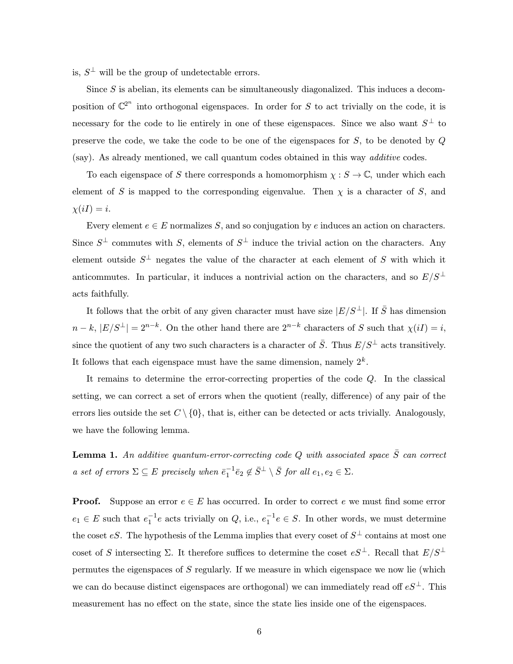is,  $S^{\perp}$  will be the group of undetectable errors.

Since S is abelian, its elements can be simultaneously diagonalized. This induces a decomposition of  $\mathbb{C}^{2^n}$  into orthogonal eigenspaces. In order for S to act trivially on the code, it is necessary for the code to lie entirely in one of these eigenspaces. Since we also want  $S^{\perp}$  to preserve the code, we take the code to be one of the eigenspaces for  $S$ , to be denoted by  $Q$ (say). As already mentioned, we call quantum codes obtained in this way additive codes.

To each eigenspace of S there corresponds a homomorphism  $\chi : S \to \mathbb{C}$ , under which each element of S is mapped to the corresponding eigenvalue. Then  $\chi$  is a character of S, and  $\chi(iI) = i.$ 

Every element  $e \in E$  normalizes S, and so conjugation by e induces an action on characters. Since  $S^{\perp}$  commutes with S, elements of  $S^{\perp}$  induce the trivial action on the characters. Any element outside  $S^{\perp}$  negates the value of the character at each element of S with which it anticommutes. In particular, it induces a nontrivial action on the characters, and so  $E/S^{\perp}$ acts faithfully.

It follows that the orbit of any given character must have size  $|E/S^{\perp}|$ . If  $\bar{S}$  has dimension  $n-k, |E/S^{\perp}| = 2^{n-k}$ . On the other hand there are  $2^{n-k}$  characters of S such that  $\chi(iI) = i$ , since the quotient of any two such characters is a character of  $\bar{S}$ . Thus  $E/S^{\perp}$  acts transitively. It follows that each eigenspace must have the same dimension, namely  $2^k$ .

It remains to determine the error-correcting properties of the code Q. In the classical setting, we can correct a set of errors when the quotient (really, difference) of any pair of the errors lies outside the set  $C \setminus \{0\}$ , that is, either can be detected or acts trivially. Analogously, we have the following lemma.

**Lemma 1.** An additive quantum-error-correcting code Q with associated space  $\bar{S}$  can correct a set of errors  $\Sigma \subseteq E$  precisely when  $\bar{e}_1^{-1} \bar{e}_2 \notin \bar{S}^{\perp} \setminus \bar{S}$  for all  $e_1, e_2 \in \Sigma$ .

**Proof.** Suppose an error  $e \in E$  has occurred. In order to correct e we must find some error  $e_1 \in E$  such that  $e_1^{-1}e$  acts trivially on Q, i.e.,  $e_1^{-1}e \in S$ . In other words, we must determine the coset eS. The hypothesis of the Lemma implies that every coset of  $S^{\perp}$  contains at most one coset of S intersecting  $\Sigma$ . It therefore suffices to determine the coset  $eS^{\perp}$ . Recall that  $E/S^{\perp}$ permutes the eigenspaces of S regularly. If we measure in which eigenspace we now lie (which we can do because distinct eigenspaces are orthogonal) we can immediately read off  $eS^{\perp}$ . This measurement has no effect on the state, since the state lies inside one of the eigenspaces.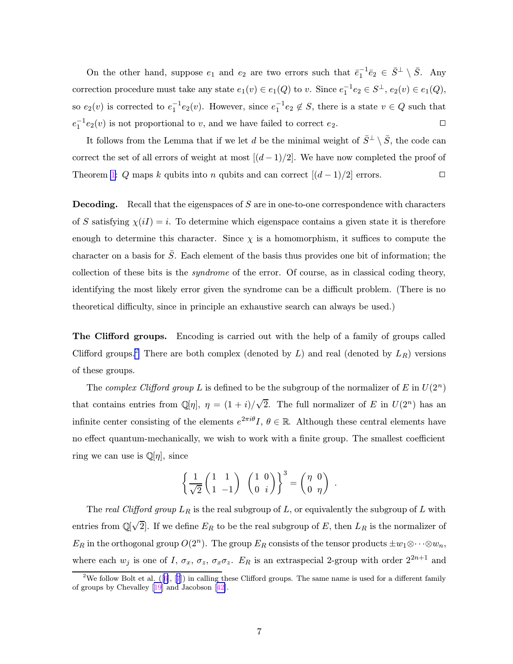On the other hand, suppose  $e_1$  and  $e_2$  are two errors such that  $\bar{e}_1^{-1}\bar{e}_2 \in \bar{S}^{\perp} \setminus \bar{S}$ . Any correction procedure must take any state  $e_1(v) \in e_1(Q)$  to v. Since  $e_1^{-1}e_2 \in S^{\perp}$ ,  $e_2(v) \in e_1(Q)$ , so  $e_2(v)$  is corrected to  $e_1^{-1}e_2(v)$ . However, since  $e_1^{-1}e_2 \notin S$ , there is a state  $v \in Q$  such that  $e_1^{-1}e_2(v)$  is not proportional to v, and we have failed to correct  $e_2$ .

It follows from the Lemma that if we let d be the minimal weight of  $\bar{S}^{\perp} \setminus \bar{S}$ , the code can correct the set of all errors of weight at most  $[(d-1)/2]$ . We have now completed the proof of Theorem [1:](#page-4-0) Q maps k qubits into n qubits and can correct  $[(d-1)/2]$  errors.

**Decoding.** Recall that the eigenspaces of  $S$  are in one-to-one correspondence with characters of S satisfying  $\chi(iI) = i$ . To determine which eigenspace contains a given state it is therefore enough to determine this character. Since  $\chi$  is a homomorphism, it suffices to compute the character on a basis for  $\overline{S}$ . Each element of the basis thus provides one bit of information; the collection of these bits is the syndrome of the error. Of course, as in classical coding theory, identifying the most likely error given the syndrome can be a difficult problem. (There is no theoretical difficulty, since in principle an exhaustive search can always be used.)

The Clifford groups. Encoding is carried out with the help of a family of groups called Clifford groups.<sup>2</sup> There are both complex (denoted by  $L$ ) and real (denoted by  $L_R$ ) versions of these groups.

The complex Clifford group L is defined to be the subgroup of the normalizer of E in  $U(2^n)$ that contains entries from  $\mathbb{Q}[\eta], \eta = (1+i)/\sqrt{2}$ . The full normalizer of E in  $U(2^n)$  has an infinite center consisting of the elements  $e^{2\pi i \theta} I$ ,  $\theta \in \mathbb{R}$ . Although these central elements have no effect quantum-mechanically, we wish to work with a finite group. The smallest coefficient ring we can use is  $\mathbb{Q}[\eta]$ , since

$$
\left\{\frac{1}{\sqrt{2}}\begin{pmatrix}1&1\\1&-1\end{pmatrix}\begin{pmatrix}1&0\\0&i\end{pmatrix}\right\}^3 = \begin{pmatrix}\eta&0\\0&\eta\end{pmatrix}.
$$

The real Clifford group  $L_R$  is the real subgroup of L, or equivalently the subgroup of L with entries from  $\mathbb{Q}[\sqrt{2}]$ . If we define  $E_R$  to be the real subgroup of  $E$ , then  $L_R$  is the normalizer of  $E_R$  in the orthogonal group  $O(2^n)$ . The group  $E_R$  consists of the tensor products  $\pm w_1 \otimes \cdots \otimes w_n$ , where each  $w_j$  is one of I,  $\sigma_x$ ,  $\sigma_z$ ,  $\sigma_x \sigma_z$ .  $E_R$  is an extraspecial 2-group with order  $2^{2n+1}$  and

<sup>&</sup>lt;sup>2</sup>We follow Bolt et al.  $([6], [7])$  $([6], [7])$  $([6], [7])$  $([6], [7])$  $([6], [7])$  in calling these Clifford groups. The same name is used for a different family of groups by Chevalley [[19](#page-42-0)] and Jacobson [[42](#page-44-0)].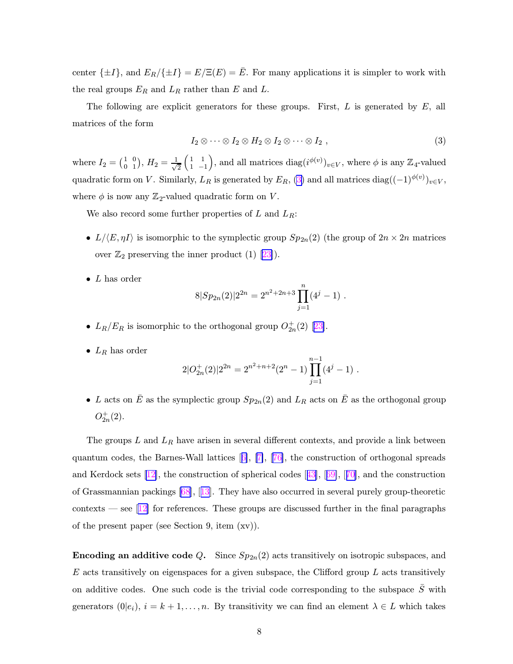center  $\{\pm I\}$ , and  $E_R/\{\pm I\} = E/\Xi(E) = \bar{E}$ . For many applications it is simpler to work with the real groups  $E_R$  and  $L_R$  rather than E and L.

The following are explicit generators for these groups. First,  $L$  is generated by  $E$ , all matrices of the form

$$
I_2 \otimes \cdots \otimes I_2 \otimes H_2 \otimes I_2 \otimes \cdots \otimes I_2 , \qquad (3)
$$

where  $I_2 = \begin{pmatrix} 1 \\ 0 \end{pmatrix}$ 0 0  $\binom{0}{1}, H_2 = \frac{1}{\sqrt{2}}$ 2  $\left(1\right)$ 1 1 −1 ), and all matrices  $\text{diag}(i^{\phi(v)})_{v \in V}$ , where  $\phi$  is any  $\mathbb{Z}_4$ -valued quadratic form on V. Similarly,  $L_R$  is generated by  $E_R$ , (3) and all matrices diag( $(-1)^{\phi(v)}_{v \in V}$ , where  $\phi$  is now any  $\mathbb{Z}_2$ -valued quadratic form on V.

We also record some further properties of L and  $L_R$ :

- $L/\langle E, \eta I \rangle$  is isomorphic to the symplectic group  $Sp_{2n}(2)$  (the group of  $2n \times 2n$  matrices over  $\mathbb{Z}_2$  preserving the inner product (1) [\[23](#page-42-0)]).
- $L$  has order

$$
8|Sp_{2n}(2)|2^{2n} = 2^{n^2+2n+3} \prod_{j=1}^{n} (4^j - 1).
$$

- $L_R/E_R$  is isomorphic to the orthogonal group  $O_{2n}^+(2)$  [[23\]](#page-42-0).
- $L_R$  has order

$$
2|O_{2n}^+(2)|2^{2n} = 2^{n^2+n+2}(2^n-1)\prod_{j=1}^{n-1}(4^j-1).
$$

• L acts on  $\overline{E}$  as the symplectic group  $Sp_{2n}(2)$  and  $L_R$  acts on  $\overline{E}$  as the orthogonal group  $O_{2n}^+(2)$ .

The groups  $L$  and  $L_R$  have arisen in several different contexts, and provide a link between quantum codes, the Barnes-Wall lattices [[6\]](#page-41-0), [[7\]](#page-41-0), [[76\]](#page-46-0), the construction of orthogonal spreads and Kerdock sets [[12\]](#page-42-0), the construction of spherical codes [[43\]](#page-44-0), [[69\]](#page-46-0), [[70\]](#page-46-0), and the construction of Grassmannian packings [\[68](#page-45-0)], [[13](#page-42-0)]. They have also occurred in several purely group-theoretic contexts — see  $\lfloor 12 \rfloor$  for references. These groups are discussed further in the final paragraphs of the present paper (see Section 9, item (xv)).

**Encoding an additive code Q.** Since  $Sp_{2n}(2)$  acts transitively on isotropic subspaces, and  $E$  acts transitively on eigenspaces for a given subspace, the Clifford group  $L$  acts transitively on additive codes. One such code is the trivial code corresponding to the subspace  $\bar{S}$  with generators  $(0|e_i)$ ,  $i = k + 1, ..., n$ . By transitivity we can find an element  $\lambda \in L$  which takes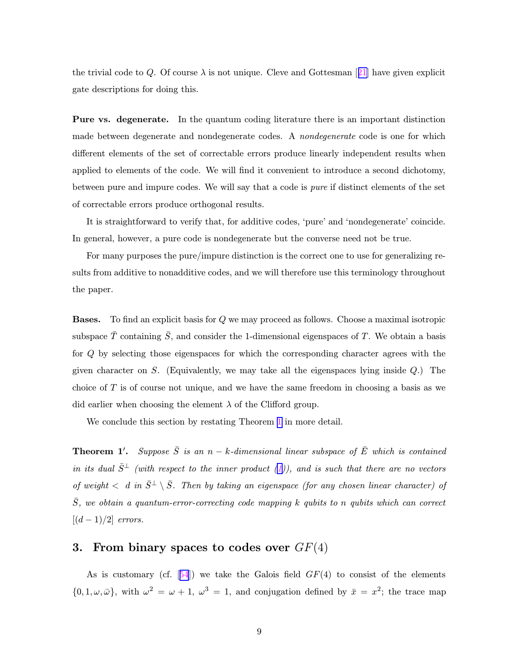the trivial code to Q. Of course  $\lambda$  is not unique. Cleve and Gottesman [[21\]](#page-42-0) have given explicit gate descriptions for doing this.

Pure vs. degenerate. In the quantum coding literature there is an important distinction made between degenerate and nondegenerate codes. A nondegenerate code is one for which different elements of the set of correctable errors produce linearly independent results when applied to elements of the code. We will find it convenient to introduce a second dichotomy, between pure and impure codes. We will say that a code is pure if distinct elements of the set of correctable errors produce orthogonal results.

It is straightforward to verify that, for additive codes, 'pure' and 'nondegenerate' coincide. In general, however, a pure code is nondegenerate but the converse need not be true.

For many purposes the pure/impure distinction is the correct one to use for generalizing results from additive to nonadditive codes, and we will therefore use this terminology throughout the paper.

Bases. To find an explicit basis for Q we may proceed as follows. Choose a maximal isotropic subspace  $\overline{T}$  containing  $\overline{S}$ , and consider the 1-dimensional eigenspaces of T. We obtain a basis for Q by selecting those eigenspaces for which the corresponding character agrees with the given character on S. (Equivalently, we may take all the eigenspaces lying inside  $Q$ .) The choice of T is of course not unique, and we have the same freedom in choosing a basis as we did earlier when choosing the element  $\lambda$  of the Clifford group.

We conclude this section by restating Theorem [1](#page-4-0) in more detail.

**Theorem 1'.** Suppose  $\overline{S}$  is an n – k-dimensional linear subspace of  $\overline{E}$  which is contained in its dual  $\bar{S}^{\perp}$  (with respect to the inner product ([1\)](#page-4-0)), and is such that there are no vectors of weight  $\langle d \text{ in } \overline{S}^{\perp} \setminus \overline{S}$ . Then by taking an eigenspace (for any chosen linear character) of  $\overline{S}$ , we obtain a quantum-error-correcting code mapping k qubits to n qubits which can correct  $[(d-1)/2]$  errors.

# 3. From binary spaces to codes over  $GF(4)$

As is customary (cf.  $[54]$  $[54]$  $[54]$ ) we take the Galois field  $GF(4)$  to consist of the elements  $\{0, 1, \omega, \bar{\omega}\}\$ , with  $\omega^2 = \omega + 1$ ,  $\omega^3 = 1$ , and conjugation defined by  $\bar{x} = x^2$ ; the trace map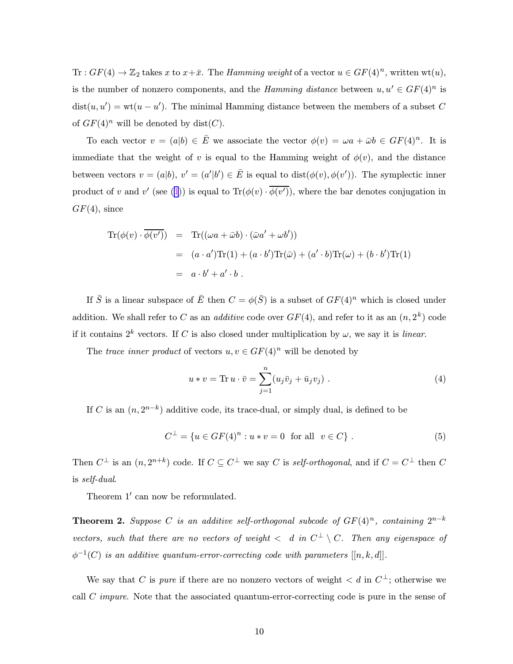<span id="page-10-0"></span>Tr :  $GF(4) \rightarrow \mathbb{Z}_2$  takes x to  $x+\bar{x}$ . The *Hamming weight* of a vector  $u \in GF(4)^n$ , written wt $(u)$ , is the number of nonzero components, and the *Hamming distance* between  $u, u' \in GF(4)^n$  is  $dist(u, u') = wt(u - u')$ . The minimal Hamming distance between the members of a subset C of  $GF(4)^n$  will be denoted by dist(C).

To each vector  $v = (a|b) \in \overline{E}$  we associate the vector  $\phi(v) = \omega a + \overline{\omega}b \in GF(4)^n$ . It is immediate that the weight of v is equal to the Hamming weight of  $\phi(v)$ , and the distance between vectors  $v = (a|b), v' = (a'|b') \in \overline{E}$  is equal to  $dist(\phi(v), \phi(v'))$ . The symplectic inner product of v and v' (see ([1](#page-4-0))) is equal to  $\text{Tr}(\phi(v) \cdot \phi(v'))$ , where the bar denotes conjugation in  $GF(4)$ , since

$$
Tr(\phi(v) \cdot \overline{\phi(v')}) = Tr((\omega a + \bar{\omega}b) \cdot (\bar{\omega}a' + \omega b'))
$$
  
=  $(a \cdot a')Tr(1) + (a \cdot b')Tr(\bar{\omega}) + (a' \cdot b)Tr(\omega) + (b \cdot b')Tr(1)$   
=  $a \cdot b' + a' \cdot b$ .

If  $\bar{S}$  is a linear subspace of  $\bar{E}$  then  $C = \phi(\bar{S})$  is a subset of  $GF(4)^n$  which is closed under addition. We shall refer to C as an *additive* code over  $GF(4)$ , and refer to it as an  $(n, 2<sup>k</sup>)$  code if it contains  $2^k$  vectors. If C is also closed under multiplication by  $\omega$ , we say it is *linear*.

The trace inner product of vectors  $u, v \in GF(4)^n$  will be denoted by

$$
u * v = \text{Tr } u \cdot \bar{v} = \sum_{j=1}^{n} (u_j \bar{v}_j + \bar{u}_j v_j) . \tag{4}
$$

If C is an  $(n, 2^{n-k})$  additive code, its trace-dual, or simply dual, is defined to be

$$
C^{\perp} = \{ u \in GF(4)^n : u * v = 0 \text{ for all } v \in C \} .
$$
 (5)

Then  $C^{\perp}$  is an  $(n, 2^{n+k})$  code. If  $C \subseteq C^{\perp}$  we say C is self-orthogonal, and if  $C = C^{\perp}$  then C is self-dual.

Theorem 1' can now be reformulated.

**Theorem 2.** Suppose C is an additive self-orthogonal subcode of  $GF(4)^n$ , containing  $2^{n-k}$ vectors, such that there are no vectors of weight  $\langle d \nvert$  and  $C^{\perp} \setminus C$ . Then any eigenspace of  $\phi^{-1}(C)$  is an additive quantum-error-correcting code with parameters  $[[n, k, d]].$ 

We say that C is *pure* if there are no nonzero vectors of weight  $\langle d \text{ in } C^{\perp}$ ; otherwise we call  $C$  *impure*. Note that the associated quantum-error-correcting code is pure in the sense of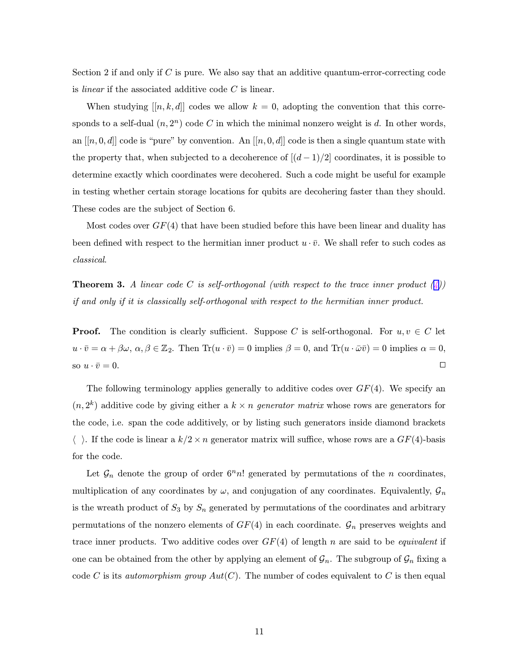Section 2 if and only if  $C$  is pure. We also say that an additive quantum-error-correcting code is *linear* if the associated additive code  $C$  is linear.

When studying  $[[n, k, d]]$  codes we allow  $k = 0$ , adopting the convention that this corresponds to a self-dual  $(n, 2<sup>n</sup>)$  code C in which the minimal nonzero weight is d. In other words, an  $[[n, 0, d]]$  code is "pure" by convention. An  $[[n, 0, d]]$  code is then a single quantum state with the property that, when subjected to a decoherence of  $[(d-1)/2]$  coordinates, it is possible to determine exactly which coordinates were decohered. Such a code might be useful for example in testing whether certain storage locations for qubits are decohering faster than they should. These codes are the subject of Section 6.

Most codes over  $GF(4)$  that have been studied before this have been linear and duality has been defined with respect to the hermitian inner product  $u \cdot \bar{v}$ . We shall refer to such codes as classical.

**Theorem 3.** A linear code C is self-orthogonal (with respect to the trace inner product  $\binom{4}{4}$ ) if and only if it is classically self-orthogonal with respect to the hermitian inner product.

**Proof.** The condition is clearly sufficient. Suppose C is self-orthogonal. For  $u, v \in C$  let  $u \cdot \overline{v} = \alpha + \beta \omega$ ,  $\alpha, \beta \in \mathbb{Z}_2$ . Then  $\text{Tr}(u \cdot \overline{v}) = 0$  implies  $\beta = 0$ , and  $\text{Tr}(u \cdot \overline{\omega} \overline{v}) = 0$  implies  $\alpha = 0$ , so  $u \cdot \bar{v} = 0$ .

The following terminology applies generally to additive codes over  $GF(4)$ . We specify an  $(n, 2<sup>k</sup>)$  additive code by giving either a  $k \times n$  generator matrix whose rows are generators for the code, i.e. span the code additively, or by listing such generators inside diamond brackets  $\langle \rangle$ . If the code is linear a  $k/2 \times n$  generator matrix will suffice, whose rows are a  $GF(4)$ -basis for the code.

Let  $\mathcal{G}_n$  denote the group of order  $6<sup>n</sup>n!$  generated by permutations of the n coordinates, multiplication of any coordinates by  $\omega$ , and conjugation of any coordinates. Equivalently,  $\mathcal{G}_n$ is the wreath product of  $S_3$  by  $S_n$  generated by permutations of the coordinates and arbitrary permutations of the nonzero elements of  $GF(4)$  in each coordinate.  $\mathcal{G}_n$  preserves weights and trace inner products. Two additive codes over  $GF(4)$  of length n are said to be *equivalent* if one can be obtained from the other by applying an element of  $\mathcal{G}_n$ . The subgroup of  $\mathcal{G}_n$  fixing a code C is its *automorphism group*  $Aut(C)$ . The number of codes equivalent to C is then equal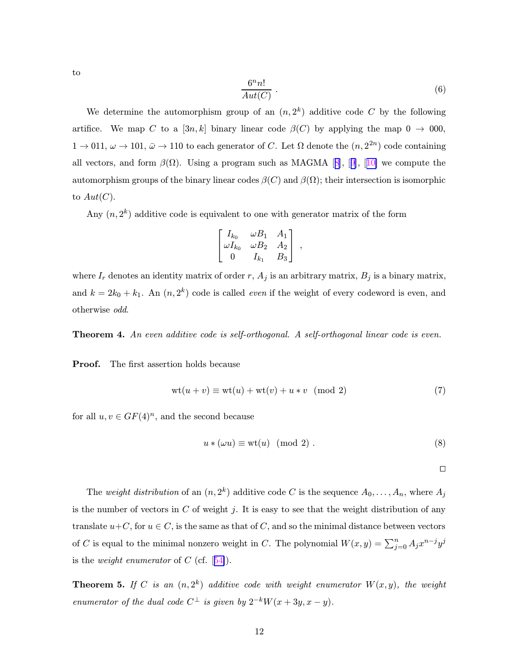<span id="page-12-0"></span>to

$$
\frac{6^n n!}{Aut(C)} \tag{6}
$$

We determine the automorphism group of an  $(n, 2<sup>k</sup>)$  additive code C by the following artifice. We map C to a [3n, k] binary linear code  $\beta(C)$  by applying the map  $0 \rightarrow 000$ ,  $1 \to 011$ ,  $\omega \to 101$ ,  $\bar{\omega} \to 110$  to each generator of C. Let  $\Omega$  denote the  $(n, 2^{2n})$  code containing all vectors, and form  $\beta(\Omega)$ . Using a program such as MAGMA [[8](#page-41-0)], [[9\]](#page-41-0), [[10\]](#page-41-0) we compute the automorphism groups of the binary linear codes  $\beta(C)$  and  $\beta(\Omega)$ ; their intersection is isomorphic to  $Aut(C).$ 

Any  $(n, 2<sup>k</sup>)$  additive code is equivalent to one with generator matrix of the form

$$
\begin{bmatrix} I_{k_0} & \omega B_1 & A_1 \ \omega I_{k_0} & \omega B_2 & A_2 \ 0 & I_{k_1} & B_3 \end{bmatrix},
$$

where  $I_r$  denotes an identity matrix of order r,  $A_j$  is an arbitrary matrix,  $B_j$  is a binary matrix, and  $k = 2k_0 + k_1$ . An  $(n, 2^k)$  code is called *even* if the weight of every codeword is even, and otherwise odd.

Theorem 4. An even additive code is self-orthogonal. A self-orthogonal linear code is even.

Proof. The first assertion holds because

$$
wt(u+v) \equiv wt(u) + wt(v) + u * v \pmod{2}
$$
 (7)

for all  $u, v \in GF(4)^n$ , and the second because

$$
u * (\omega u) \equiv \text{wt}(u) \pmod{2} . \tag{8}
$$

 $\Box$ 

The weight distribution of an  $(n, 2^k)$  additive code C is the sequence  $A_0, \ldots, A_n$ , where  $A_j$ is the number of vectors in  $C$  of weight j. It is easy to see that the weight distribution of any translate  $u+C$ , for  $u\in C$ , is the same as that of C, and so the minimal distance between vectors of C is equal to the minimal nonzero weight in C. The polynomial  $W(x, y) = \sum_{j=0}^{n} A_j x^{n-j} y^j$ is the *weight enumerator* of C (cf.  $[54]$  $[54]$ ).

**Theorem 5.** If C is an  $(n, 2^k)$  additive code with weight enumerator  $W(x, y)$ , the weight enumerator of the dual code  $C^{\perp}$  is given by  $2^{-k}W(x+3y, x-y)$ .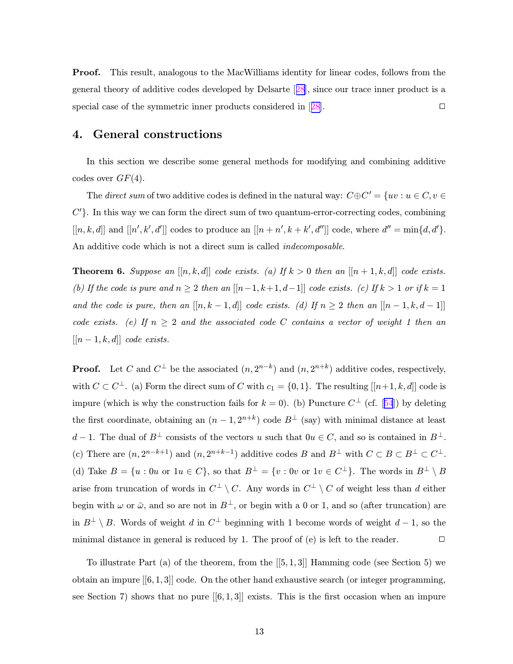<span id="page-13-0"></span>Proof. This result, analogous to the MacWilliams identity for linear codes, follows from the general theory of additive codes developed by Delsarte [[28\]](#page-43-0), since our trace inner product is a special case of the symmetric inner products considered in [[28\]](#page-43-0).

## 4. General constructions

In this section we describe some general methods for modifying and combining additive codes over  $GF(4)$ .

The *direct sum* of two additive codes is defined in the natural way:  $C \oplus C' = \{uv : u \in C, v \in C\}$  $C'$ . In this way we can form the direct sum of two quantum-error-correcting codes, combining  $[[n, k, d]]$  and  $[[n', k', d']]$  codes to produce an  $[[n + n', k + k', d'']]$  code, where  $d'' = \min\{d, d'\}.$ An additive code which is not a direct sum is called indecomposable.

**Theorem 6.** Suppose an  $[[n, k, d]]$  code exists. (a) If  $k > 0$  then an  $[[n + 1, k, d]]$  code exists. (b) If the code is pure and  $n \geq 2$  then an  $[[n-1, k+1, d-1]]$  code exists. (c) If  $k > 1$  or if  $k = 1$ and the code is pure, then an  $[[n, k - 1, d]]$  code exists. (d) If  $n \geq 2$  then an  $[[n - 1, k, d - 1]]$ code exists. (e) If  $n \geq 2$  and the associated code C contains a vector of weight 1 then an  $[[n-1, k, d]]$  code exists.

**Proof.** Let C and  $C^{\perp}$  be the associated  $(n, 2^{n-k})$  and  $(n, 2^{n+k})$  additive codes, respectively, with  $C \subset C^{\perp}$ . (a) Form the direct sum of C with  $c_1 = \{0, 1\}$ . The resulting  $[[n+1, k, d]]$  code is impure (which is why the construction fails for  $k = 0$ ). (b) Puncture  $C^{\perp}$  (cf. [[54](#page-45-0)]) by deleting the first coordinate, obtaining an  $(n-1, 2^{n+k})$  code  $B^{\perp}$  (say) with minimal distance at least d − 1. The dual of  $B^{\perp}$  consists of the vectors u such that  $0u \in C$ , and so is contained in  $B^{\perp}$ . (c) There are  $(n, 2^{n-k+1})$  and  $(n, 2^{n+k-1})$  additive codes B and  $B^{\perp}$  with  $C \subset B \subset B^{\perp} \subset C^{\perp}$ . (d) Take  $B = \{u : 0u \text{ or } 1u \in C\}$ , so that  $B^{\perp} = \{v : 0v \text{ or } 1v \in C^{\perp}\}$ . The words in  $B^{\perp} \setminus B$ arise from truncation of words in  $C^{\perp} \setminus C$ . Any words in  $C^{\perp} \setminus C$  of weight less than d either begin with  $\omega$  or  $\bar{\omega}$ , and so are not in  $B^{\perp}$ , or begin with a 0 or 1, and so (after truncation) are in  $B^{\perp} \setminus B$ . Words of weight d in  $C^{\perp}$  beginning with 1 become words of weight  $d-1$ , so the minimal distance in general is reduced by 1. The proof of  $(e)$  is left to the reader.  $\Box$ 

To illustrate Part (a) of the theorem, from the [[5, 1, 3]] Hamming code (see Section 5) we obtain an impure  $[6, 1, 3]$  code. On the other hand exhaustive search (or integer programming, see Section 7) shows that no pure  $[6, 1, 3]$  exists. This is the first occasion when an impure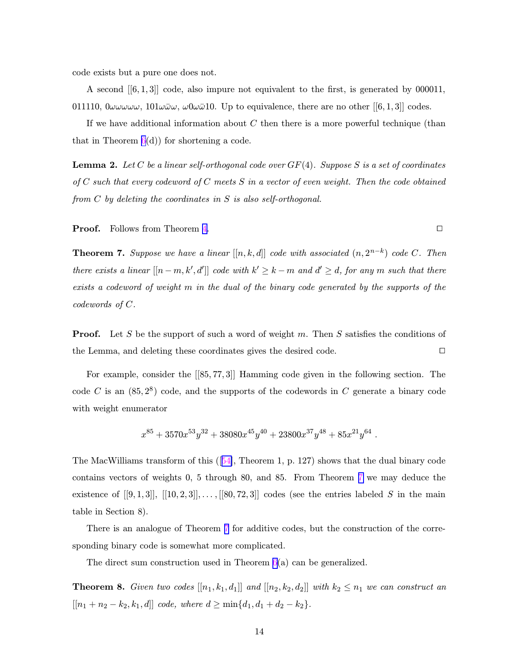<span id="page-14-0"></span>code exists but a pure one does not.

A second [[6, 1, 3]] code, also impure not equivalent to the first, is generated by 000011, 011110,  $0\omega\omega\omega\omega\omega$ ,  $101\omega\bar{\omega}\omega$ ,  $\omega0\omega\bar{\omega}10$ . Up to equivalence, there are no other [[6, 1, 3]] codes.

If we have additional information about  $C$  then there is a more powerful technique (than that in Theorem  $6(d)$  $6(d)$  for shortening a code.

**Lemma 2.** Let C be a linear self-orthogonal code over  $GF(4)$ . Suppose S is a set of coordinates of  $C$  such that every codeword of  $C$  meets  $S$  in a vector of even weight. Then the code obtained from C by deleting the coordinates in S is also self-orthogonal.

**Proof.** Follows from Theorem [4.](#page-12-0)

**Theorem 7.** Suppose we have a linear  $[[n, k, d]]$  code with associated  $(n, 2^{n-k})$  code C. Then there exists a linear  $[[n-m, k', d']]$  code with  $k' \geq k-m$  and  $d' \geq d$ , for any m such that there exists a codeword of weight m in the dual of the binary code generated by the supports of the codewords of C.

**Proof.** Let S be the support of such a word of weight m. Then S satisfies the conditions of the Lemma, and deleting these coordinates gives the desired code.

For example, consider the [[85, 77, 3]] Hamming code given in the following section. The code C is an  $(85, 2^8)$  code, and the supports of the codewords in C generate a binary code with weight enumerator

$$
x^{85} + 3570x^{53}y^{32} + 38080x^{45}y^{40} + 23800x^{37}y^{48} + 85x^{21}y^{64}
$$
.

The MacWilliams transform of this ([[54\]](#page-45-0), Theorem 1, p. 127) shows that the dual binary code contains vectors of weights 0, 5 through 80, and 85. From Theorem 7 we may deduce the existence of  $[[9, 1, 3]], [[10, 2, 3]], \ldots, [[80, 72, 3]]$  codes (see the entries labeled S in the main table in Section 8).

There is an analogue of Theorem 7 for additive codes, but the construction of the corresponding binary code is somewhat more complicated.

The direct sum construction used in Theorem  $6(a)$  $6(a)$  can be generalized.

**Theorem 8.** Given two codes  $[[n_1, k_1, d_1]]$  and  $[[n_2, k_2, d_2]]$  with  $k_2 \leq n_1$  we can construct an  $[[n_1 + n_2 - k_2, k_1, d]]$  code, where  $d \ge \min\{d_1, d_1 + d_2 - k_2\}.$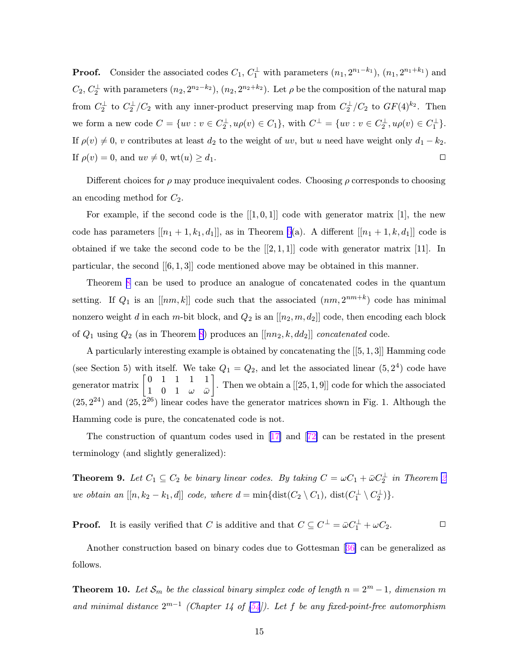<span id="page-15-0"></span>**Proof.** Consider the associated codes  $C_1, C_1^{\perp}$  with parameters  $(n_1, 2^{n_1-k_1})$ ,  $(n_1, 2^{n_1+k_1})$  and  $C_2, C_2^{\perp}$  with parameters  $(n_2, 2^{n_2-k_2})$ ,  $(n_2, 2^{n_2+k_2})$ . Let  $\rho$  be the composition of the natural map from  $C_2^{\perp}$  to  $C_2^{\perp}/C_2$  with any inner-product preserving map from  $C_2^{\perp}/C_2$  to  $GF(4)^{k_2}$ . Then we form a new code  $C = \{ uv : v \in C_2^{\perp}, u \rho(v) \in C_1 \},\$  with  $C^{\perp} = \{ uv : v \in C_2^{\perp}, u \rho(v) \in C_1^{\perp} \}.$ If  $\rho(v) \neq 0$ , v contributes at least  $d_2$  to the weight of uv, but u need have weight only  $d_1 - k_2$ . If  $\rho(v) = 0$ , and  $uv \neq 0$ ,  $wt(u) \geq d_1$ .

Different choices for  $\rho$  may produce inequivalent codes. Choosing  $\rho$  corresponds to choosing an encoding method for  $C_2$ .

For example, if the second code is the  $[[1, 0, 1]]$  code with generator matrix [1], the new code has parameters  $[[n_1 + 1, k_1, d_1]],$  as in Theorem [6\(](#page-13-0)a). A different  $[[n_1 + 1, k, d_1]]$  code is obtained if we take the second code to be the  $[[2,1,1]]$  code with generator matrix [11]. In particular, the second  $[[6,1,3]]$  code mentioned above may be obtained in this manner.

Theorem [8](#page-14-0) can be used to produce an analogue of concatenated codes in the quantum setting. If  $Q_1$  is an  $[[nm, k]]$  code such that the associated  $(nm, 2^{nm+k})$  code has minimal nonzero weight d in each m-bit block, and  $Q_2$  is an  $[[n_2, m, d_2]]$  code, then encoding each block of  $Q_1$  using  $Q_2$  (as in Theorem [8](#page-14-0)) produces an  $[[nn_2, k, dd_2]]$  concatenated code.

A particularly interesting example is obtained by concatenating the [[5, 1, 3]] Hamming code (see Section 5) with itself. We take  $Q_1 = Q_2$ , and let the associated linear  $(5, 2^4)$  code have generator matrix  $\begin{bmatrix} 0 & 1 & 1 & 1 & 1 \\ 1 & 0 & 1 & \cdots \end{bmatrix}$  $1 \t0 \t1 \t\t\omega \t\bar{\omega}$ . Then we obtain a  $[[25,1,9]]$  code for which the associated  $(25, 2^{24})$  and  $(25, 2^{26})$  linear codes have the generator matrices shown in Fig. 1. Although the Hamming code is pure, the concatenated code is not.

The construction of quantum codes used in [\[17\]](#page-42-0) and [[72\]](#page-46-0) can be restated in the present terminology (and slightly generalized):

**Theorem 9.** Let  $C_1 \subseteq C_2$  $C_1 \subseteq C_2$  be binary linear codes. By taking  $C = \omega C_1 + \bar{\omega} C_2^{\perp}$  in Theorem 2 we obtain an  $[[n, k_2 - k_1, d]]$  code, where  $d = \min\{\text{dist}(C_2 \setminus C_1), \ \text{dist}(C_1^{\perp} \setminus C_2^{\perp})\}.$ 

**Proof.** It is easily verified that C is additive and that  $C \subseteq C^{\perp} = \bar{\omega}C_1^{\perp} + \omega C_2$ .

Another construction based on binary codes due to Gottesman [[36\]](#page-43-0) can be generalized as follows.

**Theorem 10.** Let  $\mathcal{S}_m$  be the classical binary simplex code of length  $n = 2^m - 1$ , dimension m and minimal distance  $2^{m-1}$  (Chapter 14 of [\[54](#page-45-0)]). Let f be any fixed-point-free automorphism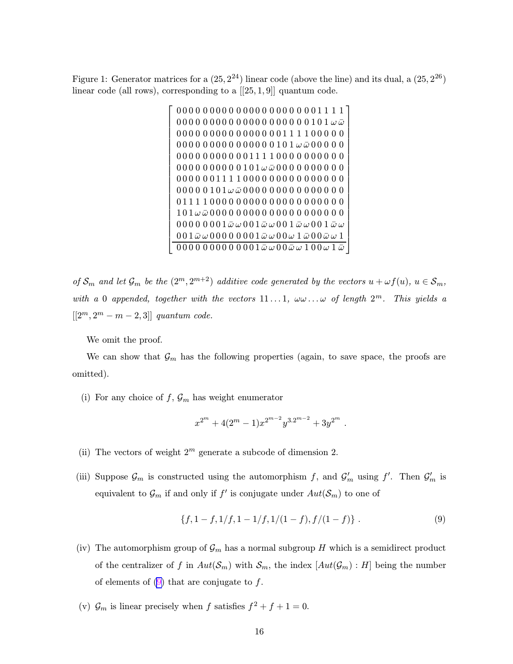Figure 1: Generator matrices for a  $(25, 2^{24})$  linear code (above the line) and its dual, a  $(25, 2^{26})$ linear code (all rows), corresponding to a  $[[25, 1, 9]]$  quantum code.



of  $S_m$  and let  $\mathcal{G}_m$  be the  $(2^m, 2^{m+2})$  additive code generated by the vectors  $u + \omega f(u)$ ,  $u \in \mathcal{S}_m$ , with a 0 appended, together with the vectors  $11...1$ ,  $\omega\omega...\omega$  of length  $2^m$ . This yields a  $[[2^m, 2^m - m - 2, 3]]$  quantum code.

We omit the proof.

We can show that  $\mathcal{G}_m$  has the following properties (again, to save space, the proofs are omitted).

(i) For any choice of  $f, \mathcal{G}_m$  has weight enumerator

$$
x^{2^m} + 4(2^m - 1)x^{2^{m-2}}y^{3 \cdot 2^{m-2}} + 3y^{2^m}.
$$

- (ii) The vectors of weight  $2^m$  generate a subcode of dimension 2.
- (iii) Suppose  $\mathcal{G}_m$  is constructed using the automorphism f, and  $\mathcal{G}'_m$  using f'. Then  $\mathcal{G}'_m$  is equivalent to  $\mathcal{G}_m$  if and only if  $f'$  is conjugate under  $Aut(\mathcal{S}_m)$  to one of

$$
\{f, 1 - f, \frac{1}{f}, \frac{1 - \frac{1}{f}, \frac{1}{1 - f}, \frac{1}{1 - f}}{1 - f}\}.
$$
\n(9)

- (iv) The automorphism group of  $\mathcal{G}_m$  has a normal subgroup H which is a semidirect product of the centralizer of f in  $Aut(\mathcal{S}_m)$  with  $\mathcal{S}_m$ , the index  $[Aut(\mathcal{G}_m) : H]$  being the number of elements of  $(9)$  that are conjugate to f.
- (v)  $\mathcal{G}_m$  is linear precisely when f satisfies  $f^2 + f + 1 = 0$ .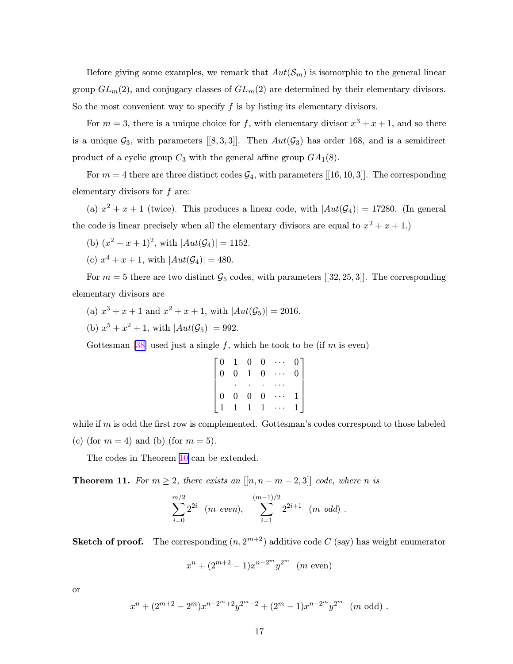<span id="page-17-0"></span>Before giving some examples, we remark that  $Aut(\mathcal{S}_m)$  is isomorphic to the general linear group  $GL_m(2)$ , and conjugacy classes of  $GL_m(2)$  are determined by their elementary divisors. So the most convenient way to specify  $f$  is by listing its elementary divisors.

For  $m = 3$ , there is a unique choice for f, with elementary divisor  $x^3 + x + 1$ , and so there is a unique  $\mathcal{G}_3$ , with parameters [[8, 3, 3]]. Then  $Aut(\mathcal{G}_3)$  has order 168, and is a semidirect product of a cyclic group  $C_3$  with the general affine group  $GA_1(8)$ .

For  $m = 4$  there are three distinct codes  $\mathcal{G}_4$ , with parameters [[16, 10, 3]]. The corresponding elementary divisors for f are:

(a)  $x^2 + x + 1$  (twice). This produces a linear code, with  $|Aut(\mathcal{G}_4)| = 17280$ . (In general the code is linear precisely when all the elementary divisors are equal to  $x^2 + x + 1$ .

(b)  $(x^2 + x + 1)^2$ , with  $|Aut(\mathcal{G}_4)| = 1152$ .

(c)  $x^4 + x + 1$ , with  $|Aut(\mathcal{G}_4)| = 480$ .

For  $m = 5$  there are two distinct  $\mathcal{G}_5$  codes, with parameters [[32, 25, 3]]. The corresponding elementary divisors are

(a)  $x^3 + x + 1$  and  $x^2 + x + 1$ , with  $|Aut(\mathcal{G}_5)| = 2016$ .

(b)  $x^5 + x^2 + 1$ , with  $|Aut(\mathcal{G}_5)| = 992$ .

Gottesman [\[38](#page-44-0)] used just a single f, which he took to be (if m is even)

| $\begin{bmatrix} 0 \\ 0 \end{bmatrix}$ |  | $\begin{bmatrix} 1 & 0 & 0 & \cdots & 0 \\ 0 & 1 & 0 & \cdots & 0 \end{bmatrix}$ |  |
|----------------------------------------|--|----------------------------------------------------------------------------------|--|
|                                        |  |                                                                                  |  |
|                                        |  |                                                                                  |  |
|                                        |  | $\begin{bmatrix} 0 & 0 & 0 & 0 & \cdots \\ 1 & 1 & 1 & 1 & \cdots \end{bmatrix}$ |  |

while if  $m$  is odd the first row is complemented. Gottesman's codes correspond to those labeled (c) (for  $m = 4$ ) and (b) (for  $m = 5$ ).

The codes in Theorem [10](#page-15-0) can be extended.

**Theorem 11.** For  $m \geq 2$ , there exists an  $[[n, n-m-2, 3]]$  code, where n is

$$
\sum_{i=0}^{m/2} 2^{2i} \quad (m \ \ even), \quad \sum_{i=1}^{(m-1)/2} 2^{2i+1} \quad (m \ \ odd) \ .
$$

**Sketch of proof.** The corresponding  $(n, 2^{m+2})$  additive code C (say) has weight enumerator

$$
x^{n} + (2^{m+2} - 1)x^{n-2^{m}}y^{2^{m}}
$$
 (m even)

or

$$
x^{n} + (2^{m+2} - 2^{m})x^{n-2m+2}y^{2m-2} + (2^{m} - 1)x^{n-2^{m}}y^{2^{m}}
$$
 (m odd).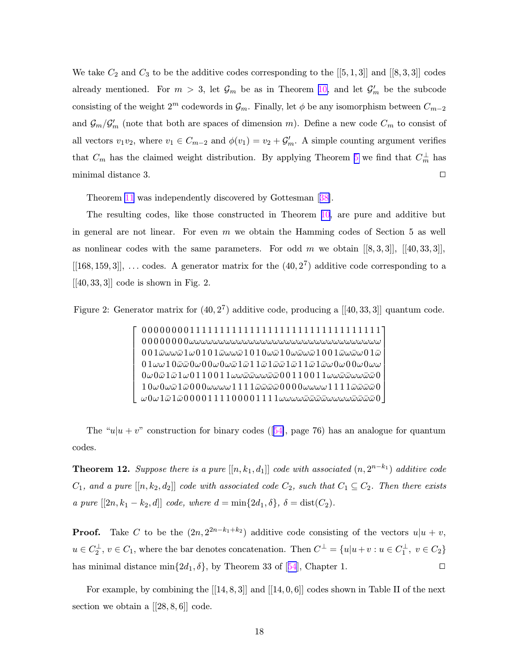<span id="page-18-0"></span>We take  $C_2$  and  $C_3$  to be the additive codes corresponding to the  $[[5,1,3]]$  and  $[[8,3,3]]$  codes already mentioned. For  $m > 3$ , let  $\mathcal{G}_m$  be as in Theorem [10,](#page-15-0) and let  $\mathcal{G}'_m$  be the subcode consisting of the weight  $2^m$  codewords in  $\mathcal{G}_m$ . Finally, let  $\phi$  be any isomorphism between  $C_{m-2}$ and  $\mathcal{G}_m/\mathcal{G}'_m$  (note that both are spaces of dimension m). Define a new code  $C_m$  to consist of all vectors  $v_1v_2$ , where  $v_1 \in C_{m-2}$  and  $\phi(v_1) = v_2 + \mathcal{G}'_m$ . A simple counting argument verifies that  $C_m$  has the claimed weight distribution. By applying Theorem [5](#page-12-0) we find that  $C_m^{\perp}$  has minimal distance 3.  $\Box$ 

Theorem [11](#page-17-0) was independently discovered by Gottesman [[38\]](#page-44-0).

The resulting codes, like those constructed in Theorem [10,](#page-15-0) are pure and additive but in general are not linear. For even  $m$  we obtain the Hamming codes of Section 5 as well as nonlinear codes with the same parameters. For odd m we obtain  $[[8, 3, 3]], [[40, 33, 3]],$  $[[168, 159, 3]], \ldots$  codes. A generator matrix for the  $(40, 2^7)$  additive code corresponding to a  $[[40, 33, 3]]$  code is shown in Fig. 2.

Figure 2: Generator matrix for  $(40,2^7)$  additive code, producing a  $[[40,33,3]]$  quantum code.

 $\lceil$  $\overline{\phantom{a}}$  $\vert$  $\vert$  $\overline{1}$  $\vert$  $\overline{1}$  $\vert$  $\overline{\phantom{a}}$  $\overline{ }$ 0 0 0 0 0 0 0 0 1 1 1 1 1 1 1 1 1 1 1 1 1 1 1 1 1 1 1 1 1 1 1 1 1 1 1 1 1 1 1 1 0 0 0 0 0 0 0 0ωωωωωωωωωωωωωωωωωωωωωωωωωωωωωωωω  $0.01$  $\bar{\omega}\omega$ w $\bar{\omega}1\omega0101\bar{\omega}\omega$ w $\bar{\omega}1010\bar{\omega}\omega\bar{\omega}1001\bar{\omega}\omega$ w $\bar{\omega}1001\bar{\omega}\omega$ w $\bar{\omega}$ u $01\bar{\omega}$  $01\omega\omega1\\ 0\bar{\omega}\omega0\omega\\ 0\omega\bar{\omega}1\bar{\omega}11\bar{\omega}1\bar{\omega}11\bar{\omega}1\bar{\omega}1\bar{\omega}1\bar{\omega}1\bar{\omega}0\omega\\ 0\omega\\ 0\omega\omega$  $0\omega0\bar\omega1\bar\omega1\omega011$   $0$   $0$   $1$   $1\omega$  $\omega$  $\bar\omega$  $\bar\omega$  $\omega$  $\bar\omega\bar\omega0$  0  $0$   $1$   $1$   $0$   $0$   $1$   $1\omega$  $\omega$  $\bar\omega$  $\bar\omega$  $\omega$  $\bar\omega$  $\bar\omega$  $1\,0\omega$  $0\omega$ ພ $\bar\omega$   $1\bar\omega$   $0\,0$   $0\omega$ ω $\omega$   $1\,1$   $1\,1$   $\bar\omega$ ພ $\bar\omega$   $0$   $0$   $0$   $0$   $\omega$ ω $\omega$ ω $\omega$   $1\,1$   $1\,$   $\bar\omega$ ພົພ $\bar\omega$   $0$ ω0ω1ω¯ 1ω¯ 0 0 0 0 1 1 1 1 0 0 0 0 1 1 1 1ωωωωω¯ω¯ω¯ω¯ωωωωω¯ω¯ω¯ω¯ 0 1  $\overline{1}$  $\overline{1}$  $\overline{1}$  $\overline{1}$  $\overline{1}$  $\overline{1}$  $\overline{1}$  $\vert$ 

The "u|u + v" construction for binary codes ([[54\]](#page-45-0), page 76) has an analogue for quantum codes.

**Theorem 12.** Suppose there is a pure  $[[n, k_1, d_1]]$  code with associated  $(n, 2^{n-k_1})$  additive code  $C_1$ , and a pure  $[[n, k_2, d_2]]$  code with associated code  $C_2$ , such that  $C_1 \subseteq C_2$ . Then there exists a pure  $[[2n, k_1 - k_2, d]]$  code, where  $d = \min\{2d_1, \delta\}, \delta = \text{dist}(C_2)$ .

**Proof.** Take C to be the  $(2n, 2^{2n-k_1+k_2})$  additive code consisting of the vectors  $u|u + v$ ,  $u \in C_2^{\perp}$ ,  $v \in C_1$ , where the bar denotes concatenation. Then  $C^{\perp} = \{u|u+v : u \in C_1^{\perp}$ ,  $v \in C_2\}$ has minimal distance min $\{2d_1, \delta\}$ , by Theorem 33 of [[54](#page-45-0)], Chapter 1.

For example, by combining the  $[[14, 8, 3]]$  and  $[[14, 0, 6]]$  codes shown in Table II of the next section we obtain a  $[[28, 8, 6]]$  code.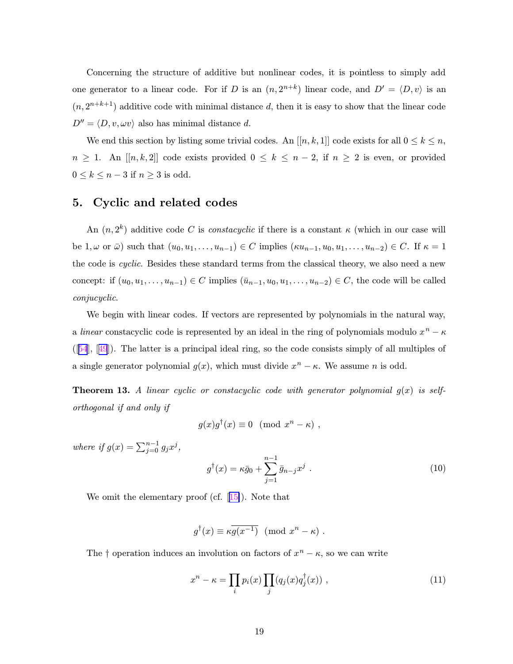<span id="page-19-0"></span>Concerning the structure of additive but nonlinear codes, it is pointless to simply add one generator to a linear code. For if D is an  $(n, 2^{n+k})$  linear code, and  $D' = \langle D, v \rangle$  is an  $(n, 2^{n+k+1})$  additive code with minimal distance d, then it is easy to show that the linear code  $D'' = \langle D, v, \omega v \rangle$  also has minimal distance d.

We end this section by listing some trivial codes. An  $[[n, k, 1]]$  code exists for all  $0 \le k \le n$ ,  $n \geq 1$ . An [[n, k, 2]] code exists provided  $0 \leq k \leq n-2$ , if  $n \geq 2$  is even, or provided  $0 \leq k \leq n-3$  if  $n \geq 3$  is odd.

# 5. Cyclic and related codes

An  $(n, 2<sup>k</sup>)$  additive code C is *constacyclic* if there is a constant  $\kappa$  (which in our case will be  $1, \omega$  or  $\bar{\omega}$ ) such that  $(u_0, u_1, \ldots, u_{n-1}) \in C$  implies  $(\kappa u_{n-1}, u_0, u_1, \ldots, u_{n-2}) \in C$ . If  $\kappa = 1$ the code is *cyclic*. Besides these standard terms from the classical theory, we also need a new concept: if  $(u_0, u_1, \ldots, u_{n-1}) \in C$  implies  $(\bar{u}_{n-1}, u_0, u_1, \ldots, u_{n-2}) \in C$ , the code will be called conjucyclic.

We begin with linear codes. If vectors are represented by polynomials in the natural way, a *linear* constacyclic code is represented by an ideal in the ring of polynomials modulo  $x^n - \kappa$ ([[54](#page-45-0)], [[49](#page-44-0)]). The latter is a principal ideal ring, so the code consists simply of all multiples of a single generator polynomial  $g(x)$ , which must divide  $x^n - \kappa$ . We assume n is odd.

**Theorem 13.** A linear cyclic or constacyclic code with generator polynomial  $g(x)$  is selforthogonal if and only if

$$
g(x)g^{\dagger}(x) \equiv 0 \pmod{x^{n} - \kappa},
$$

where if  $g(x) = \sum_{j=0}^{n-1} g_j x^j$ ,

$$
g^{\dagger}(x) = \kappa \bar{g}_0 + \sum_{j=1}^{n-1} \bar{g}_{n-j} x^j . \qquad (10)
$$

We omit the elementary proof (cf.  $[15]$  $[15]$ ). Note that

$$
g^{\dagger}(x) \equiv \kappa \overline{g(x^{-1})} \pmod{x^n - \kappa}.
$$

The  $\dagger$  operation induces an involution on factors of  $x^n - \kappa$ , so we can write

$$
x^{n} - \kappa = \prod_{i} p_{i}(x) \prod_{j} (q_{j}(x) q_{j}^{\dagger}(x)), \qquad (11)
$$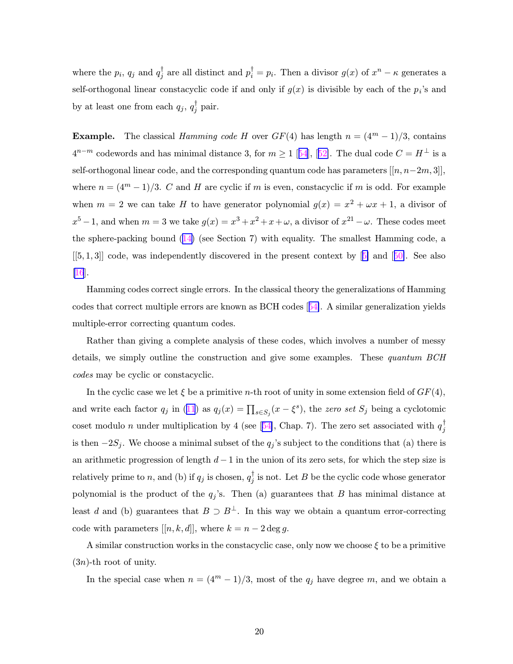where the  $p_i$ ,  $q_j$  and  $q_j^{\dagger}$  are all distinct and  $p_i^{\dagger} = p_i$ . Then a divisor  $g(x)$  of  $x^n - \kappa$  generates a self-orthogonal linear constacyclic code if and only if  $g(x)$  is divisible by each of the  $p_i$ 's and by at least one from each  $q_j, q_j^{\dagger}$  pair.

**Example.** The classical Hamming code H over  $GF(4)$  has length  $n = (4^m - 1)/3$ , contains  $4^{n-m}$  codewords and has minimal distance 3, for  $m \ge 1$  [[54](#page-45-0)], [[52\]](#page-44-0). The dual code  $C = H^{\perp}$  is a self-orthogonal linear code, and the corresponding quantum code has parameters  $[[n, n-2m, 3]],$ where  $n = (4^m - 1)/3$ . C and H are cyclic if m is even, constacyclic if m is odd. For example when  $m = 2$  we can take H to have generator polynomial  $g(x) = x^2 + \omega x + 1$ , a divisor of  $x^5 - 1$ , and when  $m = 3$  we take  $g(x) = x^3 + x^2 + x + \omega$ , a divisor of  $x^{21} - \omega$ . These codes meet the sphere-packing bound  $(14)$  $(14)$  (see Section 7) with equality. The smallest Hamming code, a  $[5, 1, 3]$  code, was independently discovered in the present context by  $[5]$  $[5]$  and  $[50]$  $[50]$ . See also  $\vert 16 \vert$ .

Hamming codes correct single errors. In the classical theory the generalizations of Hamming codes that correct multiple errors are known as BCH codes [[54\]](#page-45-0). A similar generalization yields multiple-error correcting quantum codes.

Rather than giving a complete analysis of these codes, which involves a number of messy details, we simply outline the construction and give some examples. These quantum BCH codes may be cyclic or constacyclic.

In the cyclic case we let  $\xi$  be a primitive n-th root of unity in some extension field of  $GF(4)$ , and write each factor  $q_j$  in ([11](#page-19-0)) as  $q_j(x) = \prod_{s \in S_j}(x - \xi^s)$ , the zero set  $S_j$  being a cyclotomic coset modulo *n* under multiplication by 4 (see [[54\]](#page-45-0), Chap. 7). The zero set associated with  $q_j^{\dagger}$ is then  $-2S_j$ . We choose a minimal subset of the  $q_j$ 's subject to the conditions that (a) there is an arithmetic progression of length  $d-1$  in the union of its zero sets, for which the step size is relatively prime to n, and (b) if  $q_j$  is chosen,  $q_j^{\dagger}$  is not. Let B be the cyclic code whose generator polynomial is the product of the  $q_j$ 's. Then (a) guarantees that B has minimal distance at least d and (b) guarantees that  $B \supset B^{\perp}$ . In this way we obtain a quantum error-correcting code with parameters  $[[n, k, d]],$  where  $k = n - 2 \deg g$ .

A similar construction works in the constacyclic case, only now we choose  $\xi$  to be a primitive  $(3n)$ -th root of unity.

In the special case when  $n = (4^m - 1)/3$ , most of the  $q_j$  have degree m, and we obtain a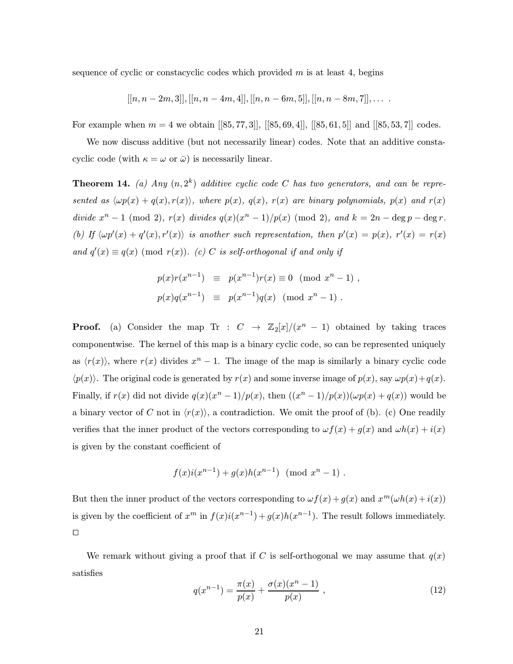sequence of cyclic or constacyclic codes which provided  $m$  is at least 4, begins

$$
[[n, n-2m, 3]], [[n, n-4m, 4]], [[n, n-6m, 5]], [[n, n-8m, 7]], \ldots
$$

For example when  $m = 4$  we obtain  $[[85, 77, 3]$ ],  $[[85, 69, 4]$ ],  $[[85, 61, 5]]$  and  $[[85, 53, 7]$ ] codes.

We now discuss additive (but not necessarily linear) codes. Note that an additive constacyclic code (with  $\kappa = \omega$  or  $\bar{\omega}$ ) is necessarily linear.

**Theorem 14.** (a) Any  $(n, 2^k)$  additive cyclic code C has two generators, and can be represented as  $\langle \omega p(x) + q(x), r(x) \rangle$ , where  $p(x), q(x), r(x)$  are binary polynomials,  $p(x)$  and  $r(x)$ divide  $x^n - 1 \pmod{2}$ ,  $r(x)$  divides  $q(x)(x^n - 1)/p(x) \pmod{2}$ , and  $k = 2n - \deg p - \deg r$ . (b) If  $\langle \omega p'(x) + q'(x), r'(x) \rangle$  is another such representation, then  $p'(x) = p(x), r'(x) = r(x)$ and  $q'(x) \equiv q(x) \pmod{r(x)}$ . (c) C is self-orthogonal if and only if

$$
p(x)r(x^{n-1}) \equiv p(x^{n-1})r(x) \equiv 0 \pmod{x^{n}-1},
$$
  

$$
p(x)q(x^{n-1}) \equiv p(x^{n-1})q(x) \pmod{x^{n}-1}.
$$

**Proof.** (a) Consider the map Tr :  $C \rightarrow \mathbb{Z}_2[x]/(x^n-1)$  obtained by taking traces componentwise. The kernel of this map is a binary cyclic code, so can be represented uniquely as  $\langle r(x) \rangle$ , where  $r(x)$  divides  $x^n - 1$ . The image of the map is similarly a binary cyclic code  $\langle p(x)\rangle$ . The original code is generated by  $r(x)$  and some inverse image of  $p(x)$ , say  $\omega p(x)+q(x)$ . Finally, if  $r(x)$  did not divide  $q(x)(x^n - 1)/p(x)$ , then  $((x^n - 1)/p(x))(\omega p(x) + q(x))$  would be a binary vector of C not in  $\langle r(x)\rangle$ , a contradiction. We omit the proof of (b). (c) One readily verifies that the inner product of the vectors corresponding to  $\omega f(x) + g(x)$  and  $\omega h(x) + i(x)$ is given by the constant coefficient of

$$
f(x)i(x^{n-1}) + g(x)h(x^{n-1}) \pmod{x^{n}-1}.
$$

But then the inner product of the vectors corresponding to  $\omega f(x) + g(x)$  and  $x^m(\omega h(x) + i(x))$ is given by the coefficient of  $x^m$  in  $f(x)i(x^{n-1})+g(x)h(x^{n-1})$ . The result follows immediately.  $\Box$ 

We remark without giving a proof that if C is self-orthogonal we may assume that  $q(x)$ satisfies

$$
q(x^{n-1}) = \frac{\pi(x)}{p(x)} + \frac{\sigma(x)(x^n - 1)}{p(x)},
$$
\n(12)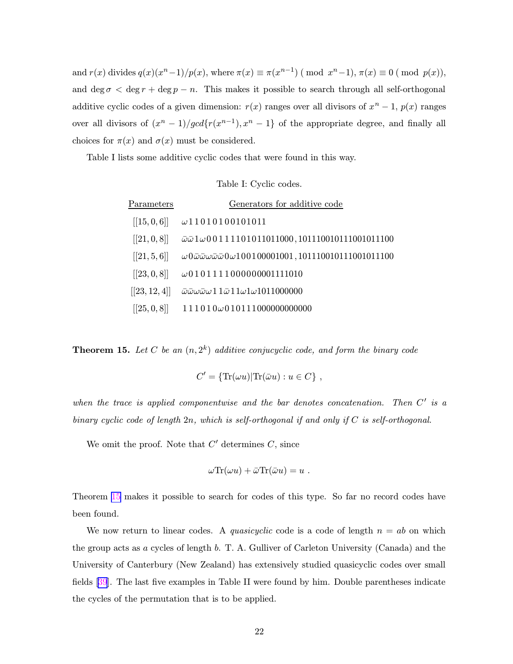and  $r(x)$  divides  $q(x)(x^n-1)/p(x)$ , where  $\pi(x) \equiv \pi(x^{n-1})$  (mod  $x^n-1$ ),  $\pi(x) \equiv 0$  (mod  $p(x)$ ), and deg  $\sigma < \deg r + \deg p - n$ . This makes it possible to search through all self-orthogonal additive cyclic codes of a given dimension:  $r(x)$  ranges over all divisors of  $x^n - 1$ ,  $p(x)$  ranges over all divisors of  $(x^{n} - 1)/gcd{r(x^{n-1}), x^{n} - 1}$  of the appropriate degree, and finally all choices for  $\pi(x)$  and  $\sigma(x)$  must be considered.

Table I lists some additive cyclic codes that were found in this way.

### Table I: Cyclic codes.

| Parameters    | Generators for additive code                                                                                       |
|---------------|--------------------------------------------------------------------------------------------------------------------|
| [[15, 0, 6]]  | $\omega$ 11010100101011                                                                                            |
| [[21, 0, 8]]  | $\bar{\omega}\bar{\omega}1\omega00111101011011000, 101110010111001011100$                                          |
| [[21, 5, 6]]  | $\omega 0 \bar{\omega} \bar{\omega} \omega \bar{\omega} \bar{\omega} 0 \omega 100100001001, 101110010111001011100$ |
| [[23, 0, 8]]  | $\omega$ 0101111000000001111010                                                                                    |
| [[23, 12, 4]] | $\bar{\omega}\bar{\omega}\omega\bar{\omega}\omega$ 11 $\bar{\omega}$ 11 $\omega$ 1 $\omega$ 1011000000             |
| [[25, 0, 8]]  | $111010\omega010111000000000000$                                                                                   |

**Theorem 15.** Let C be an  $(n, 2^k)$  additive conjucyclic code, and form the binary code

$$
C' = \{ \text{Tr}(\omega u) | \text{Tr}(\bar{\omega}u) : u \in C \},
$$

when the trace is applied componentwise and the bar denotes concatenation. Then  $C'$  is a binary cyclic code of length  $2n$ , which is self-orthogonal if and only if C is self-orthogonal.

We omit the proof. Note that  $C'$  determines  $C$ , since

$$
\omega \text{Tr}(\omega u) + \bar{\omega} \text{Tr}(\bar{\omega} u) = u
$$

Theorem 15 makes it possible to search for codes of this type. So far no record codes have been found.

We now return to linear codes. A quasicyclic code is a code of length  $n = ab$  on which the group acts as a cycles of length b. T. A. Gulliver of Carleton University (Canada) and the University of Canterbury (New Zealand) has extensively studied quasicyclic codes over small fields [\[39](#page-44-0)]. The last five examples in Table II were found by him. Double parentheses indicate the cycles of the permutation that is to be applied.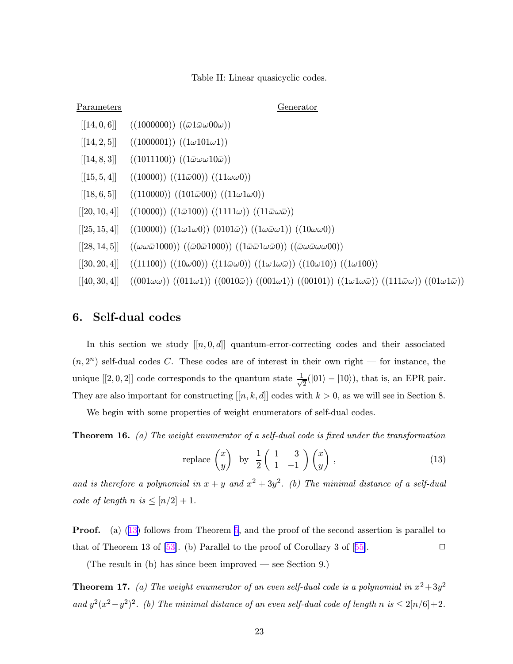### Table II: Linear quasicyclic codes.

<span id="page-23-0"></span>

| Generator<br><b>Parameters</b>                                                                                                                                                        |  |
|---------------------------------------------------------------------------------------------------------------------------------------------------------------------------------------|--|
| [[14, 0, 6]]<br>$((1000000)) ((\bar{\omega}1\bar{\omega}\omega 00\omega))$                                                                                                            |  |
| $((1000001)) ((1\omega 101\omega 1))$<br>[[14, 2, 5]]                                                                                                                                 |  |
| [[14, 8, 3]]<br>$((1011100)) ((1\bar{\omega}\omega\omega 10\bar{\omega}))$                                                                                                            |  |
| [[15, 5, 4]]<br>$((10000)) ((11\bar{\omega}00)) ((11\omega\omega 0))$                                                                                                                 |  |
| $((110000)) ((101\bar{\omega}00)) ((11\omega1\omega0))$<br>[[18, 6, 5]]                                                                                                               |  |
| $((10000)) ((1\bar{\omega}100)) ((1111\omega)) ((11\bar{\omega}\omega\bar{\omega}))$<br>[[20, 10, 4]]                                                                                 |  |
| $((10000)) ((1\omega 1\omega 0)) (0101\bar{\omega})) ((1\omega \bar{\omega} \omega 1)) ((10\omega \omega 0))$<br>[[25, 15, 4]]                                                        |  |
| $((\omega\omega\bar{\omega}1000))((\bar{\omega}0\bar{\omega}1000))((1\bar{\omega}\bar{\omega}1\omega\bar{\omega}0))((\bar{\omega}\omega\bar{\omega}\omega\omega00))$<br>[[28, 14, 5]] |  |
| $((11100)) ((10\omega 00)) ((11\bar{\omega}\omega 0)) ((1\omega 1\omega \bar{\omega})) ((10\omega 10)) ((1\omega 100))$<br>[[30, 20, 4]]                                              |  |

 $\left[ [40, 30, 4] \right]$   $\left( (001\omega\omega) \right) \left( (011\omega1) \right) \left( (0010\overline{\omega}) \right) \left( (001\omega1) \right) \left( (0010\overline{\omega}) \right) \left( (111\overline{\omega}\omega) \right) \left( (01\omega1\overline{\omega}) \right)$ 

# 6. Self-dual codes

In this section we study  $[[n, 0, d]]$  quantum-error-correcting codes and their associated  $(n, 2<sup>n</sup>)$  self-dual codes C. These codes are of interest in their own right — for instance, the unique [[2, 0, 2]] code corresponds to the quantum state  $\frac{1}{\sqrt{2}}$  $\frac{1}{2}(|01\rangle - |10\rangle)$ , that is, an EPR pair. They are also important for constructing  $[[n, k, d]]$  codes with  $k > 0$ , as we will see in Section 8.

We begin with some properties of weight enumerators of self-dual codes.

**Theorem 16.** (a) The weight enumerator of a self-dual code is fixed under the transformation

replace 
$$
\begin{pmatrix} x \\ y \end{pmatrix}
$$
 by  $\frac{1}{2} \begin{pmatrix} 1 & 3 \\ 1 & -1 \end{pmatrix} \begin{pmatrix} x \\ y \end{pmatrix}$ , (13)

and is therefore a polynomial in  $x + y$  and  $x^2 + 3y^2$ . (b) The minimal distance of a self-dual code of length  $n$  is  $\leq [n/2]+1$ .

Proof. (a) (13) follows from Theorem [5](#page-12-0), and the proof of the second assertion is parallel to that of Theorem 13 of [\[53](#page-44-0)]. (b) Parallel to the proof of Corollary 3 of [[55\]](#page-45-0).

(The result in (b) has since been improved — see Section 9.)

**Theorem 17.** (a) The weight enumerator of an even self-dual code is a polynomial in  $x^2+3y^2$ and  $y^2(x^2-y^2)^2$ . (b) The minimal distance of an even self-dual code of length n is  $\leq 2[n/6]+2$ .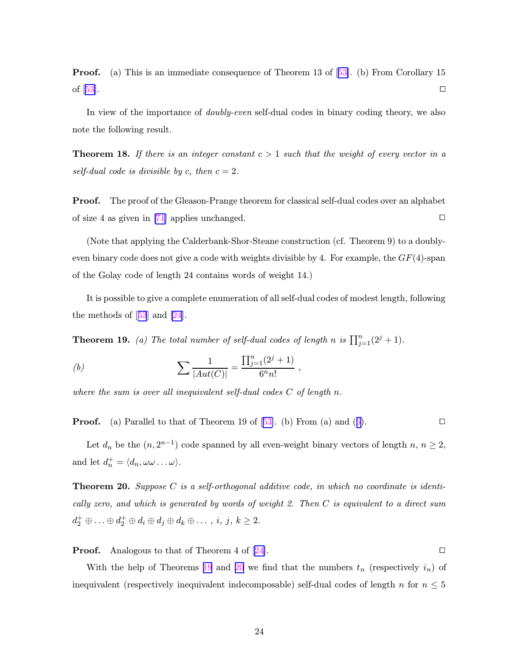**Proof.** (a) This is an immediate consequence of Theorem 13 of [[53\]](#page-44-0). (b) From Corollary 15 of  $[53]$  $[53]$ .

In view of the importance of *doubly-even* self-dual codes in binary coding theory, we also note the following result.

**Theorem 18.** If there is an integer constant  $c > 1$  such that the weight of every vector in a self-dual code is divisible by c, then  $c = 2$ .

Proof. The proof of the Gleason-Prange theorem for classical self-dual codes over an alphabet of size 4 as given in [\[71\]](#page-46-0) applies unchanged.  $\square$ 

(Note that applying the Calderbank-Shor-Steane construction (cf. Theorem 9) to a doublyeven binary code does not give a code with weights divisible by 4. For example, the  $GF(4)$ -span of the Golay code of length 24 contains words of weight 14.)

It is possible to give a complete enumeration of all self-dual codes of modest length, following the methods of [[53](#page-44-0)] and [\[24](#page-43-0)].

**Theorem 19.** (a) The total number of self-dual codes of length n is  $\prod_{j=1}^{n}(2^{j}+1)$ .

(b) 
$$
\sum \frac{1}{|Aut(C)|} = \frac{\prod_{j=1}^{n} (2^{j} + 1)}{6^{n} n!},
$$

where the sum is over all inequivalent self-dual codes  $C$  of length  $n$ .

**Proof.** (a) Parallel to that of Theorem 19 of [[53\]](#page-44-0). (b) From (a) and ([6\)](#page-12-0).

Let  $d_n$  be the  $(n, 2^{n-1})$  code spanned by all even-weight binary vectors of length  $n, n \geq 2$ , and let  $d_n^+ = \langle d_n, \omega \omega \dots \omega \rangle$ .

**Theorem 20.** Suppose C is a self-orthogonal additive code, in which no coordinate is identically zero, and which is generated by words of weight 2. Then C is equivalent to a direct sum  $d_2^+ \oplus \ldots \oplus d_2^+ \oplus d_i \oplus d_j \oplus d_k \oplus \ldots, i, j, k \geq 2.$ 

### **Proof.** Analogous to that of Theorem 4 of [[24\]](#page-43-0).  $\Box$

With the help of Theorems 19 and 20 we find that the numbers  $t_n$  (respectively  $i_n$ ) of inequivalent (respectively inequivalent indecomposable) self-dual codes of length n for  $n \leq 5$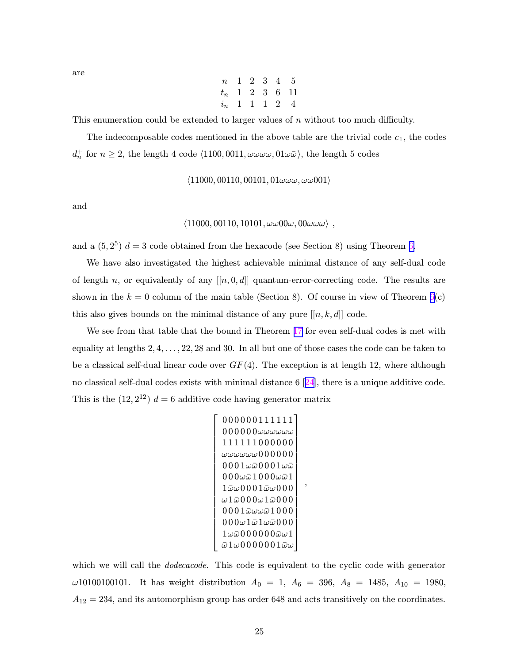$$
\begin{array}{cccccc}\nn & 1 & 2 & 3 & 4 & 5 \\
t_n & 1 & 2 & 3 & 6 & 11 \\
i_n & 1 & 1 & 1 & 2 & 4\n\end{array}
$$

This enumeration could be extended to larger values of n without too much difficulty.

The indecomposable codes mentioned in the above table are the trivial code  $c_1$ , the codes  $d_n^+$  for  $n \geq 2$ , the length 4 code  $\langle 1100, 0011, \omega \omega \omega \omega, 01 \omega \bar{\omega} \rangle$ , the length 5 codes

$$
\langle 11000, 00110, 00101, 01\omega\omega\omega, \omega\omega001 \rangle
$$

and

# $\langle 11000, 00110, 10101, \omega\omega 00\omega, 00\omega\omega\omega \rangle$  ,

and a  $(5, 2^5)$   $d = 3$  code obtained from the hexacode (see Section 8) using Theorem [6.](#page-13-0)

We have also investigated the highest achievable minimal distance of any self-dual code of length n, or equivalently of any  $[[n, 0, d]]$  quantum-error-correcting code. The results are shown in the  $k = 0$  column of the main table (Section 8). Of course in view of Theorem [6\(](#page-13-0)c) this also gives bounds on the minimal distance of any pure  $[[n, k, d]]$  code.

We see from that table that the bound in Theorem [17](#page-23-0) for even self-dual codes is met with equality at lengths  $2, 4, \ldots, 22, 28$  and 30. In all but one of those cases the code can be taken to be a classical self-dual linear code over  $GF(4)$ . The exception is at length 12, where although no classical self-dual codes exists with minimal distance 6 [[24](#page-43-0)], there is a unique additive code. This is the  $(12, 2^{12})$   $d = 6$  additive code having generator matrix

$$
\left[\begin{array}{c} 0000001111111 \\ 000000\omega\omega\omega\omega\omega \\ 111111000000 \\ \omega\omega\omega\omega\omega0000000 \\ 0001\omega\bar{\omega}0001\omega\bar{\omega} \\ 000\omega\bar{\omega}1000\omega\bar{\omega}1 \\ 1\bar{\omega}\omega0001\bar{\omega}\omega000 \\ \omega1\bar{\omega}000\omega1\bar{\omega}000 \\ 0001\bar{\omega}\omega\omega\bar{\omega}1000 \\ 0001\bar{\omega}\omega\omega\bar{\omega}1000 \\ 000\omega1\bar{\omega}1\omega\bar{\omega}000 \\ 1\omega\bar{\omega}000000\bar{\omega}\omega1 \\ \bar{\omega}1\omega0000001\bar{\omega}\omega \end{array}\right]
$$

,

which we will call the *dodecacode*. This code is equivalent to the cyclic code with generator  $\omega$ 10100100101. It has weight distribution  $A_0 = 1$ ,  $A_6 = 396$ ,  $A_8 = 1485$ ,  $A_{10} = 1980$ ,  $A_{12} = 234$ , and its automorphism group has order 648 and acts transitively on the coordinates.

are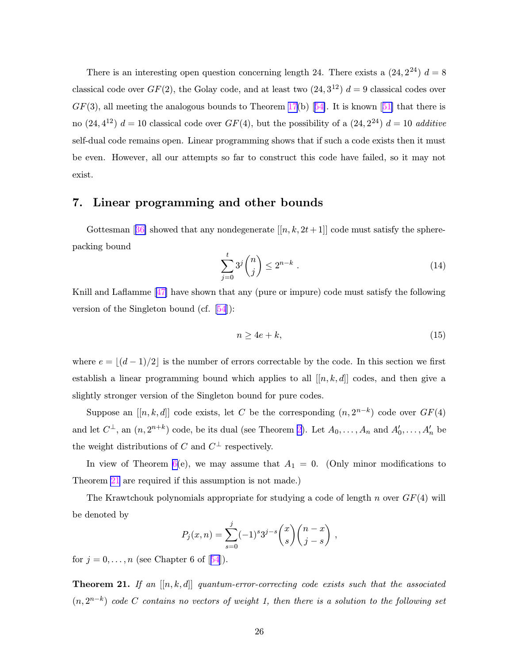<span id="page-26-0"></span>There is an interesting open question concerning length 24. There exists a  $(24, 2^{24})$   $d = 8$ classical code over  $GF(2)$ , the Golay code, and at least two  $(24, 3^{12})$   $d = 9$  classical codes over  $GF(3)$ , all meeting the analogous bounds to Theorem [17\(](#page-23-0)b) [[54\]](#page-45-0). It is known [[51\]](#page-44-0) that there is no  $(24, 4^{12})$   $d = 10$  classical code over  $GF(4)$ , but the possibility of a  $(24, 2^{24})$   $d = 10$  additive self-dual code remains open. Linear programming shows that if such a code exists then it must be even. However, all our attempts so far to construct this code have failed, so it may not exist.

## 7. Linear programming and other bounds

Gottesman [[36\]](#page-43-0) showed that any nondegenerate  $[[n, k, 2t+1]]$  code must satisfy the spherepacking bound

$$
\sum_{j=0}^{t} 3^{j} \binom{n}{j} \le 2^{n-k} \tag{14}
$$

Knill and Laflamme [[47\]](#page-44-0) have shown that any (pure or impure) code must satisfy the following version of the Singleton bound (cf. [\[54](#page-45-0)]):

$$
n \ge 4e + k,\tag{15}
$$

where  $e = \lfloor (d - 1)/2 \rfloor$  is the number of errors correctable by the code. In this section we first establish a linear programming bound which applies to all  $[[n, k, d]]$  codes, and then give a slightly stronger version of the Singleton bound for pure codes.

Suppose an  $[[n, k, d]]$  code exists, let C be the corresponding  $(n, 2^{n-k})$  code over  $GF(4)$ and let  $C^{\perp}$ , an  $(n, 2^{n+k})$  $(n, 2^{n+k})$  $(n, 2^{n+k})$  code, be its dual (see Theorem 2). Let  $A_0, \ldots, A_n$  and  $A'_0, \ldots, A'_n$  be the weight distributions of C and  $C^{\perp}$  respectively.

In view of Theorem [6\(](#page-13-0)e), we may assume that  $A_1 = 0$ . (Only minor modifications to Theorem 21 are required if this assumption is not made.)

The Krawtchouk polynomials appropriate for studying a code of length n over  $GF(4)$  will be denoted by

$$
P_j(x,n) = \sum_{s=0}^j (-1)^s 3^{j-s} {x \choose s} {n-x \choose j-s} ,
$$

for  $j = 0, \ldots, n$  (see Chapter 6 of [[54](#page-45-0)]).

**Theorem 21.** If an  $[[n, k, d]]$  quantum-error-correcting code exists such that the associated  $(n, 2^{n-k})$  code C contains no vectors of weight 1, then there is a solution to the following set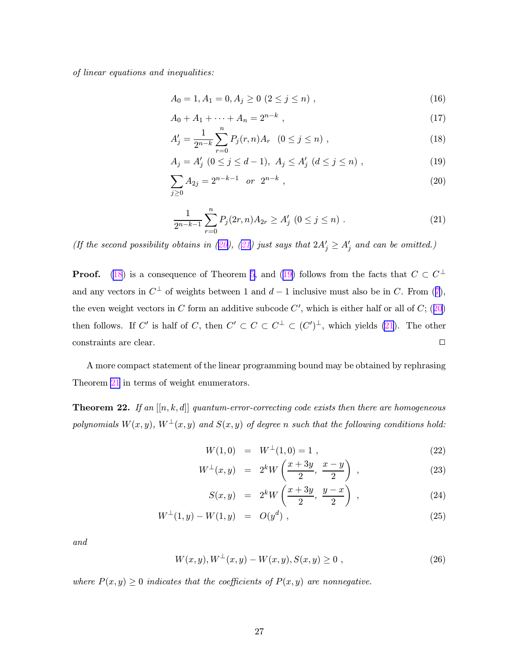<span id="page-27-0"></span>of linear equations and inequalities:

$$
A_0 = 1, A_1 = 0, A_j \ge 0 \ (2 \le j \le n) \tag{16}
$$

$$
A_0 + A_1 + \dots + A_n = 2^{n-k} \tag{17}
$$

$$
A'_{j} = \frac{1}{2^{n-k}} \sum_{r=0}^{n} P_{j}(r,n) A_{r} \quad (0 \le j \le n) ,
$$
 (18)

$$
A_j = A'_j \ (0 \le j \le d-1), \ A_j \le A'_j \ (d \le j \le n) \ , \tag{19}
$$

$$
\sum_{j\geq 0} A_{2j} = 2^{n-k-1} \quad \text{or} \quad 2^{n-k} \tag{20}
$$

$$
\frac{1}{2^{n-k-1}}\sum_{r=0}^{n}P_j(2r,n)A_{2r}\geq A'_j\ (0\leq j\leq n)\ .
$$
 (21)

(If the second possibility obtains in (20), (21) just says that  $2A'_j \ge A'_j$  and can be omitted.)

**Proof.** (18) is a consequence of Theorem [5](#page-12-0), and (19) follows from the facts that  $C \subset C^{\perp}$ and any vectors in  $C^{\perp}$  of weights between 1 and  $d-1$  inclusive must also be in C. From ([7\)](#page-12-0), the even weight vectors in C form an additive subcode  $C'$ , which is either half or all of  $C$ ; (20) then follows. If C' is half of C, then  $C' \subset C \subset C^{\perp} \subset (C')^{\perp}$ , which yields (21). The other constraints are clear.

A more compact statement of the linear programming bound may be obtained by rephrasing Theorem [21](#page-26-0) in terms of weight enumerators.

**Theorem 22.** If an  $[[n, k, d]]$  quantum-error-correcting code exists then there are homogeneous polynomials  $W(x, y)$ ,  $W^{\perp}(x, y)$  and  $S(x, y)$  of degree n such that the following conditions hold:

$$
W(1,0) = W^{\perp}(1,0) = 1 , \qquad (22)
$$

$$
W^{\perp}(x,y) = 2^k W\left(\frac{x+3y}{2}, \frac{x-y}{2}\right) , \qquad (23)
$$

$$
S(x, y) = 2k W\left(\frac{x + 3y}{2}, \frac{y - x}{2}\right), \qquad (24)
$$

$$
W^{\perp}(1,y) - W(1,y) = O(y^d) , \qquad (25)
$$

and

$$
W(x, y), W^{\perp}(x, y) - W(x, y), S(x, y) \ge 0,
$$
\n(26)

where  $P(x, y) \geq 0$  indicates that the coefficients of  $P(x, y)$  are nonnegative.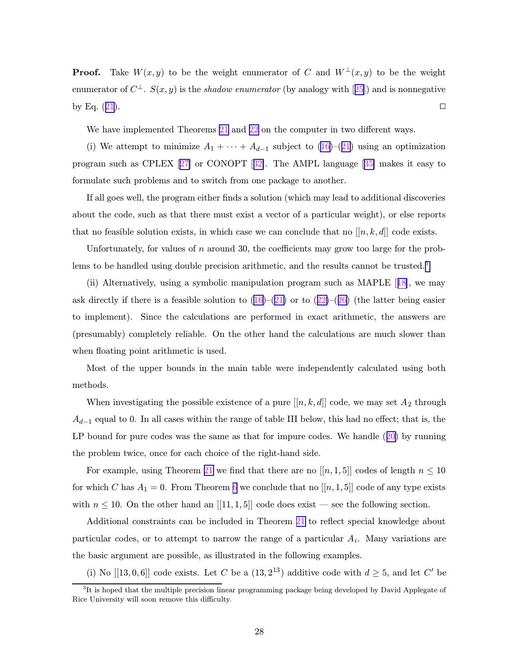**Proof.** Take  $W(x, y)$  to be the weight enumerator of C and  $W^{\perp}(x, y)$  to be the weight enumerator of  $C^{\perp}$ .  $S(x, y)$  is the *shadow enumerator* (by analogy with [[25](#page-43-0)]) and is nonnegative by Eq.  $(21)$  $(21)$  $(21)$ .

We have implemented Theorems [21](#page-26-0) and [22](#page-27-0) on the computer in two different ways.

(i) We attempt to minimize  $A_1 + \cdots + A_{d-1}$  subject to  $(16)-(21)$  $(16)-(21)$  $(16)-(21)$  $(16)-(21)$  $(16)-(21)$  using an optimization program such as CPLEX [[27\]](#page-43-0) or CONOPT [[32\]](#page-43-0). The AMPL language [[35\]](#page-43-0) makes it easy to formulate such problems and to switch from one package to another.

If all goes well, the program either finds a solution (which may lead to additional discoveries about the code, such as that there must exist a vector of a particular weight), or else reports that no feasible solution exists, in which case we can conclude that no  $[[n, k, d]]$  code exists.

Unfortunately, for values of  $n$  around 30, the coefficients may grow too large for the problems to be handled using double precision arithmetic, and the results cannot be trusted.<sup>3</sup>

(ii) Alternatively, using a symbolic manipulation program such as MAPLE [[18\]](#page-42-0), we may ask directly if there is a feasible solution to  $(16)-(21)$  $(16)-(21)$  $(16)-(21)$  or to  $(22)-(26)$  $(22)-(26)$  $(22)-(26)$  $(22)-(26)$  (the latter being easier to implement). Since the calculations are performed in exact arithmetic, the answers are (presumably) completely reliable. On the other hand the calculations are much slower than when floating point arithmetic is used.

Most of the upper bounds in the main table were independently calculated using both methods.

When investigating the possible existence of a pure  $[[n, k, d]]$  code, we may set  $A_2$  through  $A_{d-1}$  equal to 0. In all cases within the range of table III below, this had no effect; that is, the LP bound for pure codes was the same as that for impure codes. We handle  $(20)$  $(20)$  by running the problem twice, once for each choice of the right-hand side.

For example, using Theorem [21](#page-26-0) we find that there are no  $[[n,1,5]]$  codes of length  $n \leq 10$ for which C has  $A_1 = 0$ . From Theorem [6](#page-13-0) we conclude that no  $[[n, 1, 5]]$  code of any type exists with  $n \leq 10$ . On the other hand an [[11, 1, 5]] code does exist — see the following section.

Additional constraints can be included in Theorem [21](#page-26-0) to reflect special knowledge about particular codes, or to attempt to narrow the range of a particular  $A_i$ . Many variations are the basic argument are possible, as illustrated in the following examples.

(i) No [[13, 0, 6]] code exists. Let C be a  $(13, 2^{13})$  additive code with  $d \geq 5$ , and let C' be

<sup>&</sup>lt;sup>3</sup>It is hoped that the multiple precision linear programming package being developed by David Applegate of Rice University will soon remove this difficulty.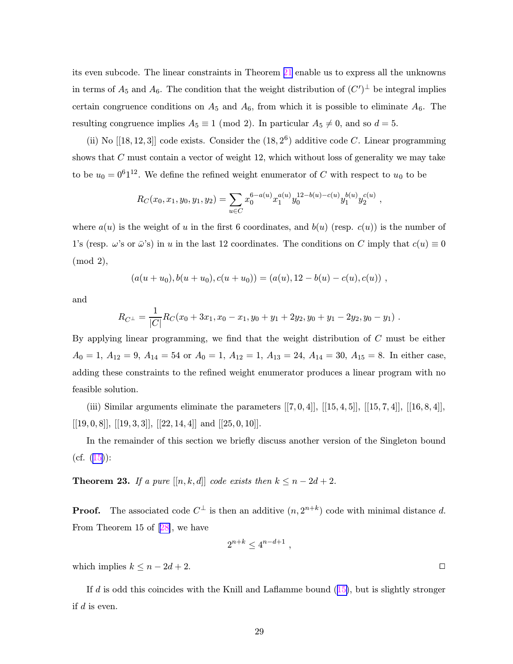its even subcode. The linear constraints in Theorem [21](#page-26-0) enable us to express all the unknowns in terms of  $A_5$  and  $A_6$ . The condition that the weight distribution of  $(C')^{\perp}$  be integral implies certain congruence conditions on  $A_5$  and  $A_6$ , from which it is possible to eliminate  $A_6$ . The resulting congruence implies  $A_5 \equiv 1 \pmod{2}$ . In particular  $A_5 \neq 0$ , and so  $d = 5$ .

(ii) No  $[[18, 12, 3]]$  code exists. Consider the  $(18, 2^6)$  additive code C. Linear programming shows that  $C$  must contain a vector of weight 12, which without loss of generality we may take to be  $u_0 = 0^6 1^{12}$ . We define the refined weight enumerator of C with respect to  $u_0$  to be

$$
R_C(x_0, x_1, y_0, y_1, y_2) = \sum_{u \in C} x_0^{6-a(u)} x_1^{a(u)} y_0^{12-b(u)-c(u)} y_1^{b(u)} y_2^{c(u)},
$$

where  $a(u)$  is the weight of u in the first 6 coordinates, and  $b(u)$  (resp.  $c(u)$ ) is the number of 1's (resp.  $\omega$ 's or  $\bar{\omega}$ 's) in u in the last 12 coordinates. The conditions on C imply that  $c(u) \equiv 0$ (mod 2),

$$
(a(u+u_0), b(u+u_0), c(u+u_0)) = (a(u), 12 - b(u) - c(u), c(u)),
$$

and

$$
R_{C^{\perp}} = \frac{1}{|C|} R_C(x_0 + 3x_1, x_0 - x_1, y_0 + y_1 + 2y_2, y_0 + y_1 - 2y_2, y_0 - y_1).
$$

By applying linear programming, we find that the weight distribution of C must be either  $A_0 = 1, A_{12} = 9, A_{14} = 54$  or  $A_0 = 1, A_{12} = 1, A_{13} = 24, A_{14} = 30, A_{15} = 8$ . In either case, adding these constraints to the refined weight enumerator produces a linear program with no feasible solution.

(iii) Similar arguments eliminate the parameters  $[[7, 0, 4]], [[15, 4, 5]], [[15, 7, 4]], [[16, 8, 4]],$ [[19, 0, 8]], [[19, 3, 3]], [[22, 14, 4]] and [[25, 0, 10]].

In the remainder of this section we briefly discuss another version of the Singleton bound  $(cf. (15))$  $(cf. (15))$  $(cf. (15))$ :

**Theorem 23.** If a pure  $[[n, k, d]]$  code exists then  $k \leq n - 2d + 2$ .

**Proof.** The associated code  $C^{\perp}$  is then an additive  $(n, 2^{n+k})$  code with minimal distance d. From Theorem 15 of [[28\]](#page-43-0), we have

$$
2^{n+k} \leq 4^{n-d+1},
$$

which implies  $k \leq n - 2d + 2$ .

If  $d$  is odd this coincides with the Knill and Laflamme bound  $(15)$  $(15)$ , but is slightly stronger if  $d$  is even.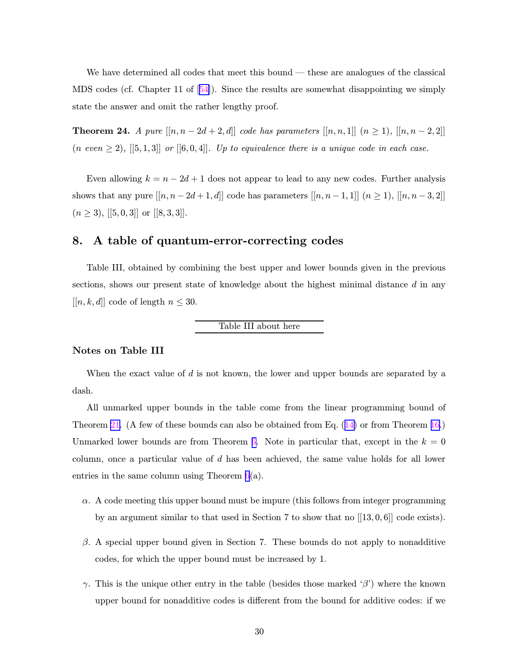<span id="page-30-0"></span>We have determined all codes that meet this bound — these are analogues of the classical MDS codes (cf. Chapter 11 of  $[54]$  $[54]$ ). Since the results are somewhat disappointing we simply state the answer and omit the rather lengthy proof.

**Theorem 24.** A pure  $[[n, n - 2d + 2, d]]$  code has parameters  $[[n, n, 1]]$   $(n \ge 1)$ ,  $[[n, n - 2, 2]]$  $(n \text{ even } \geq 2), [[5,1,3]] \text{ or } [[6,0,4]].$  Up to equivalence there is a unique code in each case.

Even allowing  $k = n - 2d + 1$  does not appear to lead to any new codes. Further analysis shows that any pure  $[[n, n - 2d + 1, d]]$  code has parameters  $[[n, n - 1, 1]]$   $(n \ge 1)$ ,  $[[n, n - 3, 2]]$  $(n \geq 3), [[5, 0, 3]]$  or  $[[8, 3, 3]].$ 

# 8. A table of quantum-error-correcting codes

Table III, obtained by combining the best upper and lower bounds given in the previous sections, shows our present state of knowledge about the highest minimal distance  $d$  in any  $[[n, k, d]]$  code of length  $n \leq 30$ .

### Table III about here

### Notes on Table III

When the exact value of  $d$  is not known, the lower and upper bounds are separated by a dash.

All unmarked upper bounds in the table come from the linear programming bound of Theorem [21.](#page-26-0) (A few of these bounds can also be obtained from Eq. ([14\)](#page-26-0) or from Theorem [16.](#page-23-0)) Unmarked lower bounds are from Theorem [6.](#page-13-0) Note in particular that, except in the  $k = 0$ column, once a particular value of  $d$  has been achieved, the same value holds for all lower entries in the same column using Theorem  $6(a)$  $6(a)$ .

- $\alpha$ . A code meeting this upper bound must be impure (this follows from integer programming by an argument similar to that used in Section 7 to show that no [[13, 0, 6]] code exists).
- $\beta$ . A special upper bound given in Section 7. These bounds do not apply to nonadditive codes, for which the upper bound must be increased by 1.
- γ. This is the unique other entry in the table (besides those marked 'β') where the known upper bound for nonadditive codes is different from the bound for additive codes: if we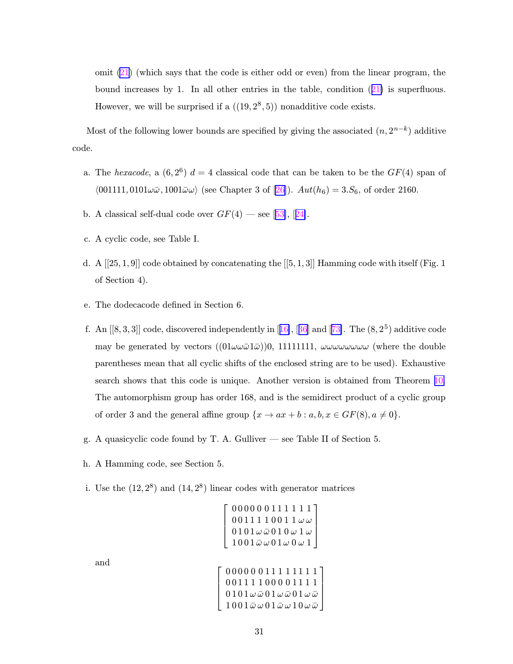omit  $(21)$  $(21)$  (which says that the code is either odd or even) from the linear program, the bound increases by 1. In all other entries in the table, condition ([21\)](#page-27-0) is superfluous. However, we will be surprised if a  $((19, 2^8, 5))$  nonadditive code exists.

Most of the following lower bounds are specified by giving the associated  $(n, 2^{n-k})$  additive code.

- a. The hexacode, a  $(6,2^6)$  d = 4 classical code that can be taken to be the  $GF(4)$  span of  $\langle 001111, 0101\omega\bar{\omega}, 1001\bar{\omega}\omega \rangle$  (see Chapter 3 of [[26\]](#page-43-0)).  $Aut(h_6) = 3.S_6$ , of order 2160.
- b. A classical self-dual code over  $GF(4)$  see [[53\]](#page-44-0), [[24\]](#page-43-0).
- c. A cyclic code, see Table I.
- d. A  $[[25,1,9]]$  code obtained by concatenating the  $[[5,1,3]]$  Hamming code with itself (Fig. 1) of Section 4).
- e. The dodecacode defined in Section 6.
- f. An  $[[8,3,3]]$  code, discovered independently in  $[16]$  $[16]$ ,  $[36]$  $[36]$  $[36]$  and  $[73]$  $[73]$ . The  $(8,2^5)$  additive code may be generated by vectors  $((01\omega\omega\bar{\omega}1\bar{\omega}))0, 11111111, \omega\omega\omega\omega\omega\omega\omega\omega$  (where the double parentheses mean that all cyclic shifts of the enclosed string are to be used). Exhaustive search shows that this code is unique. Another version is obtained from Theorem [10.](#page-15-0) The automorphism group has order 168, and is the semidirect product of a cyclic group of order 3 and the general affine group  $\{x \to ax + b : a, b, x \in GF(8), a \neq 0\}.$
- g. A quasicyclic code found by T. A. Gulliver see Table II of Section 5.
- h. A Hamming code, see Section 5.
- i. Use the  $(12, 2^8)$  and  $(14, 2^8)$  linear codes with generator matrices

 $\sqrt{ }$  $\overline{1}$  $\vert$  $\overline{1}$ 

| $\left[ \begin{array}{lllllllllllllllllllllllllllllll} 0&0&0&0&0&0&1&1&1&1&1\\ 0&0&1&1&1&0&0&1&1&\omega\omega\\ 0&1&0&1&\omega\,\bar{\omega}&0&1&0&\omega&1\omega\\ 1&0&0&1&\bar{\omega}&\omega&0&1\,\omega&0&\omega&1 \end{array} \right]$ |  |
|---------------------------------------------------------------------------------------------------------------------------------------------------------------------------------------------------------------------------------------------|--|
|                                                                                                                                                                                                                                             |  |
|                                                                                                                                                                                                                                             |  |
|                                                                                                                                                                                                                                             |  |

0 0 0 0 0 0 1 1 1 1 1 1 1 1 0 0 1 1 1 1 0 0 0 0 1 1 1 1 1  $\vert$  $\vert$  $\overline{a}$ 

and

$$
\frac{0101\omega\bar{\omega}\,01\omega\bar{\omega}\,01\omega\bar{\omega}}{1001\bar{\omega}\omega\,01\bar{\omega}\omega\,10\omega\bar{\omega}}
$$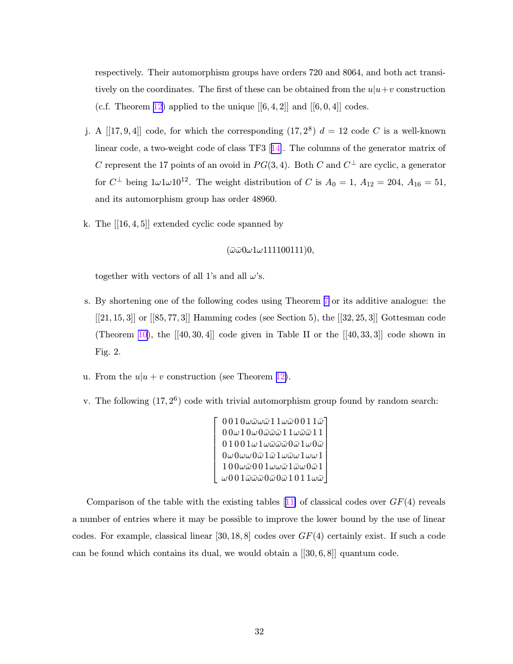respectively. Their automorphism groups have orders 720 and 8064, and both act transitively on the coordinates. The first of these can be obtained from the  $u|u+v$  construction (c.f. Theorem [12\)](#page-18-0) applied to the unique  $[[6, 4, 2]]$  and  $[[6, 0, 4]]$  codes.

- j. A [[17, 9, 4]] code, for which the corresponding  $(17, 2^8)$   $d = 12$  code C is a well-known linear code, a two-weight code of class TF3 [[14\]](#page-42-0). The columns of the generator matrix of C represent the 17 points of an ovoid in  $PG(3, 4)$ . Both C and  $C^{\perp}$  are cyclic, a generator for  $C^{\perp}$  being  $1\omega 1\omega 10^{12}$ . The weight distribution of C is  $A_0 = 1, A_{12} = 204, A_{16} = 51,$ and its automorphism group has order 48960.
- k. The  $[[16, 4, 5]]$  extended cyclic code spanned by

 $(\bar{\omega}\bar{\omega}0\omega1\omega111100111)0,$ 

together with vectors of all 1's and all  $\omega$ 's.

- s. By shortening one of the following codes using Theorem [7](#page-14-0) or its additive analogue: the  $[[21, 15, 3]]$  or  $[[85, 77, 3]]$  Hamming codes (see Section 5), the  $[[32, 25, 3]]$  Gottesman code (Theorem [10\)](#page-15-0), the  $[[40, 30, 4]]$  code given in Table II or the  $[[40, 33, 3]]$  code shown in Fig. 2.
- u. From the  $u|u + v$  construction (see Theorem [12\)](#page-18-0).
- v. The following  $(17, 2^6)$  code with trivial automorphism group found by random search:

```
\sqrt{ }

          0\,0\,1\,0\omegaພ\bar\omega 1\,1\,\omegaພ0\,0\,1\,1\bar\omega0\,0\,\omega\,1\,0\,\omega\,0ωω\bar\omega\,1\,1\,\omegaω\bar\omega\,1\,10 1 0 0 1 \omega 1 \omega \bar{\omega} \bar{\omega} 0 \bar{\omega} 1 \omega 0 \bar{\omega}0\omega0\omega\omega0\bar\omega1\bar\omega1\omega\bar\omega\omega1\omega\omega11\,0\,0\omegaō0\,0\,1\omegawō1ō\omega0ō1\omega001බබබ0බ0බ1 0 1 1 \omegaබ
                                                                                                               1
                                                                                                               \begin{array}{c} \begin{array}{c} \begin{array}{c} \begin{array}{c} \end{array} \\ \begin{array}{c} \end{array} \\ \begin{array}{c} \end{array} \\ \begin{array}{c} \end{array} \\ \begin{array}{c} \end{array} \end{array} \end{array}
```
Comparison of the table with the existing tables [[11\]](#page-41-0) of classical codes over  $GF(4)$  reveals a number of entries where it may be possible to improve the lower bound by the use of linear codes. For example, classical linear  $[30, 18, 8]$  codes over  $GF(4)$  certainly exist. If such a code can be found which contains its dual, we would obtain a  $[[30, 6, 8]]$  quantum code.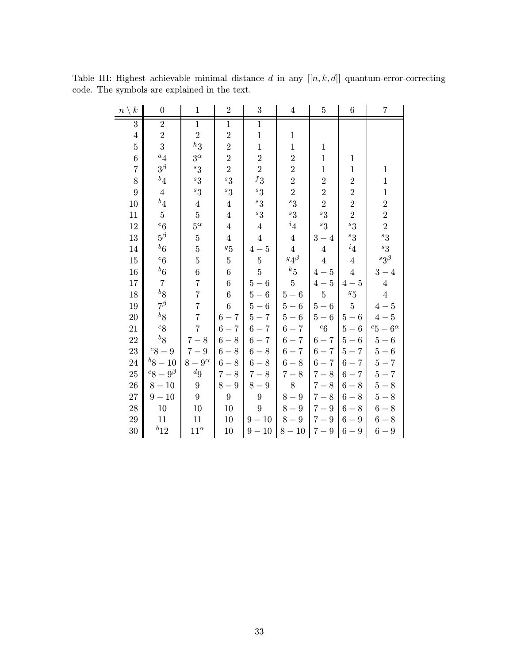| $\boldsymbol{k}$<br>$n \setminus$ | $\overline{0}$                  | $\mathbf{1}$     | $\overline{2}$ | 3                | $\overline{4}$           | $\overline{5}$ | $6\phantom{.}6$ | $\overline{7}$     |
|-----------------------------------|---------------------------------|------------------|----------------|------------------|--------------------------|----------------|-----------------|--------------------|
| $\overline{3}$                    | $\overline{2}$                  | $\overline{1}$   | $\mathbf{1}$   | $\overline{1}$   |                          |                |                 |                    |
| $\overline{4}$                    | $\overline{2}$                  | $\overline{2}$   | $\overline{2}$ | $\mathbf{1}$     | $\mathbf{1}$             |                |                 |                    |
| $\overline{5}$                    | $\overline{3}$                  | $h_{3}$          | $\overline{2}$ | $\mathbf{1}$     | $\mathbf{1}$             | $\mathbf{1}$   |                 |                    |
| $\overline{6}$                    | $a_4$                           | $3^\alpha$       | $\overline{2}$ | $\overline{2}$   | $\overline{2}$           | $1\,$          | $\mathbf{1}$    |                    |
| $\overline{7}$                    | $3^\beta$                       | ${}^{s}3$        | $\overline{2}$ | $\overline{2}$   | $\overline{2}$           | $\mathbf{1}$   | $\mathbf{1}$    | $\,1$              |
| 8                                 | $\real^{b}4$                    | ${}^{s}3$        | ${}^{s}3$      | $^f3$            | $\overline{2}$           | $\overline{2}$ | $\overline{2}$  | $\,1$              |
| $\overline{9}$                    | $\overline{4}$                  | ${}^s3$          | ${}^{s}3$      | $^s3$            | $\overline{2}$           | $\overline{2}$ | $\overline{2}$  | $\mathbf 1$        |
| 10                                | $\real^b4$                      | $\overline{4}$   | $\overline{4}$ | ${}^{s}3$        | ${}^{s}3$                | $\overline{2}$ | $\overline{2}$  | $\overline{2}$     |
| 11                                | $\overline{5}$                  | $\overline{5}$   | $\overline{4}$ | ${}^{s}3$        | ${}^{s}3$                | ${}^{s}3$      | $\overline{2}$  | $\overline{2}$     |
| 12                                | $\,{}^e6$                       | $5^\alpha$       | $\overline{4}$ | $\bf 4$          | $\,{}^{i}4$              | ${}^{s}3$      | ${}^{s}3$       | $\overline{2}$     |
| 13                                | $5^\beta$                       | $\bf 5$          | $\overline{4}$ | $\overline{4}$   | $\overline{4}$           | $3 - 4$        | ${}^s3$         | ${}^{s}3$          |
| 14                                | $\rm ^{b}6$                     | $\overline{5}$   | 95             | $4-5$            | $\overline{4}$           | $\overline{4}$ | $i_4$           | ${}^{s}3$          |
| 15                                | $c_{6}$                         | $\overline{5}$   | $\bf 5$        | $\bf 5$          | $g\!\!\!1_{\cal 4}\beta$ | $\overline{4}$ | $\overline{4}$  | $^s3^{\beta}$      |
| 16                                | $\boldsymbol{^{b}6}$            | $\overline{6}$   | $\,6$          | $\overline{5}$   | $\boldsymbol{k}_5$       | $4-5$          | $\overline{4}$  | $3-4$              |
| 17                                | $\overline{7}$                  | $\overline{7}$   | $\overline{6}$ | $5-6$            | $\overline{5}$           | $4-5$          | $4-5$           | $\overline{4}$     |
| 18                                | $b_{\mbox{\footnotesize{$8$}}}$ | $\overline{7}$   | $\,6\,$        | $5-6$            | $5-6$                    | $\overline{5}$ | $\sqrt{g}5$     | $\boldsymbol{4}$   |
| 19                                | $7^\beta$                       | $\overline{7}$   | $\overline{6}$ | $5-6$            | $5-6$                    | $5-6$          | $\overline{5}$  | $4-5$              |
| 20                                | $b\sqrt8$                       | $\overline{7}$   | $6 - 7$        | $5 - 7$          | $5-6$                    | $5-6\,$        | $5-6$           | $4-5$              |
| 21                                | $c_8$                           | $\overline{7}$   | $6-7$          | $6 - 7$          | $6 - 7$                  | $\,c6$         | $5-6$           | $^{c}5-6^{\alpha}$ |
| 22                                | $\boldsymbol{b}$ g              | $7 - 8$          | $6-8$          | $6 - 7$          | $6-7\,$                  | $6-7$          | $5-6$           | $5-6\,$            |
| 23                                | ${}^c8-9$                       | $7-9$            | $6-8$          | $6-8$            | $6-7$                    | $6-7$          | $5 - 7$         | $5-6$              |
| 24                                | $b_8 - 10$                      | $8-9^{\alpha}$   | $6-8$          | $6-8$            | $6-8$                    | $6-7\,$        | $6 - 7$         | $5 - 7$            |
| 25                                | ${}^{c}8-9^{\beta}$             | ${}^d 9$         | $7 - 8$        | $7 - 8$          | $7-8$                    | $7 - 8$        | $6 - 7$         | $5 - 7$            |
| 26                                | $8 - 10$                        | $9\phantom{.0}$  | $8-9$          | $8-9$            | 8                        | $7 - 8$        | $6-8$           | $5\,{-}\,8$        |
| 27                                | $9 - 10$                        | $\boldsymbol{9}$ | $9\phantom{.}$ | $\boldsymbol{9}$ | $8-9$                    | $7 - 8$        | $6-8$           | $5-8$              |
| 28                                | $10\,$                          | 10               | 10             | 9                | $8-9$                    | $7-9$          | $6-8$           | $6-8$              |
| 29                                | 11                              | 11               | 10             | $9 - 10$         | $8-9$                    | $7-9$          | $6-9$           | $6-8$              |
| 30                                | $b_{12}$                        | $11^{\alpha}$    | 10             | $9-10\,$         | $8 - 10$                 | $7-9$          | $6-9$           | $6\,{-}\,9$        |

Table III: Highest achievable minimal distance  $d$  in any  $[[n, k, d]]$  quantum-error-correcting code. The symbols are explained in the text.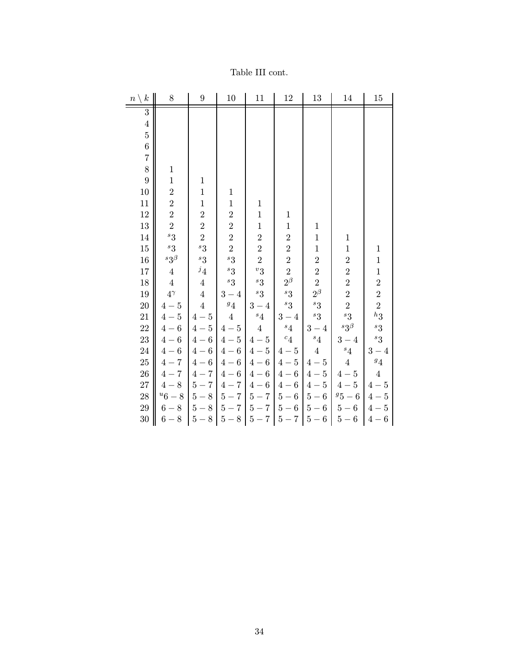| $\boldsymbol{k}$<br>$n \setminus$ | $8\,$          | $\boldsymbol{9}$ | 10             | 11             | $12\,$            | 13             | 14               | 15                    |
|-----------------------------------|----------------|------------------|----------------|----------------|-------------------|----------------|------------------|-----------------------|
| $\overline{3}$                    |                |                  |                |                |                   |                |                  |                       |
| $\overline{4}$                    |                |                  |                |                |                   |                |                  |                       |
| $\overline{5}$                    |                |                  |                |                |                   |                |                  |                       |
| $\overline{6}$                    |                |                  |                |                |                   |                |                  |                       |
| $\overline{7}$                    |                |                  |                |                |                   |                |                  |                       |
| 8                                 | $\mathbf 1$    |                  |                |                |                   |                |                  |                       |
| $\overline{9}$                    | $\mathbf{1}$   | $1\,$            |                |                |                   |                |                  |                       |
| 10                                | $\overline{2}$ | $\mathbf{1}$     | $\mathbf{1}$   |                |                   |                |                  |                       |
| 11                                | $\overline{2}$ | $\mathbf{1}$     | $\mathbf{1}$   | $\mathbf{1}$   |                   |                |                  |                       |
| 12                                | $\overline{2}$ | $\overline{2}$   | $\overline{2}$ | $\mathbf{1}$   | $\mathbf{1}$      |                |                  |                       |
| 13                                | $\overline{2}$ | $\overline{2}$   | $\overline{2}$ | $\mathbf 1$    | $\mathbf{1}$      | $\,1$          |                  |                       |
| 14                                | ${}^{s}3$      | $\overline{2}$   | $\overline{2}$ | $\overline{2}$ | $\overline{2}$    | $\mathbf 1$    | $\mathbf 1$      |                       |
| $15\,$                            | ${}^{s}3$      | ${}^{s}3$        | $\overline{2}$ | $\overline{2}$ | $\overline{2}$    | $\mathbf{1}$   | $\mathbf 1$      | $\mathbf{1}$          |
| 16                                | $^s3^{\beta}$  | ${}^{s}3$        | ${}^{s}3$      | $\overline{2}$ | $\overline{2}$    | $\overline{2}$ | $\overline{2}$   | $\mathbf{1}$          |
| $17\,$                            | $\overline{4}$ | $\frac{j_4}{2}$  | $^{s}3$        | $v_3$          | $\overline{2}$    | $\overline{2}$ | $\overline{2}$   | $\mathbf{1}$          |
| 18                                | $\bf 4$        | $\overline{4}$   | ${}^{s}3$      | ${}^{s}3$      | $2^{\beta}$       | $\overline{2}$ | $\overline{2}$   | $\overline{2}$        |
| 19                                | $4^{\gamma}$   | $\overline{4}$   | $3 - 4$        | ${}^{s}3$      | ${}^{s}3$         | $2^{\beta}$    | $\overline{2}$   | $\overline{2}$        |
| 20                                | $4-5$          | $\overline{4}$   | $^g4\!$        | $3-4$          | ${}^{s}3$         | ${}^{s}3$      | $\overline{2}$   | $\overline{2}$        |
| 21                                | $4-5$          | $4-5$            | $\overline{4}$ | $^s4$          | $3-4$             | ${}^{s}3$      | ${}^{s}3$        | $^h3$                 |
| 22                                | $4-6$          | $4-5$            | $4-5$          | $\overline{4}$ | $^s4$             | $3-4$          | ${}^s 3^{\beta}$ | ${}^{s}3$             |
| 23                                | $4-6$          | $4-6$            | $4-5$          | $4-5$          | $\ ^{c}4$         | $^s4$          | $3-4$            | ${}^{s}3$             |
| 24                                | $4-6$          | $4-6$            | $4-6$          | $4-5$          | $4-5$             | $\overline{4}$ | $^s4$            | $3 - 4$               |
| <b>25</b>                         | $4 - 7$        | $4-6$            | $4-6$          | $4-6$          | $4-5$             | $4-5$          | $\overline{4}$   | $\ensuremath{^{g_4}}$ |
| 26                                | $4 - 7$        | $4 - 7$          | $4-6$          | $4-6$          | $4-6$             | $4-5$          | $4-5$            | $\overline{4}$        |
| 27                                | $4-8$          | $5-7$            | $4 - 7$        | $4-6$          | $4-6$             | $4-5$          | $4-5$            | $4-5$                 |
| 28                                | $u_6-8$        | $5-8$            | $5-7$          | $5-7$          | $5-6$             | $5-6$          | $95-6$           | $4-5$                 |
| 29                                | $6-8$          | $5-8$            | $5-7$          | $5-7$          | $5-6$             | $5-6$          | $5-6$            | $4-5$                 |
| 30                                | $6-8\,$        | $5-8$            | $5-8$          |                | $5 - 7$   $5 - 7$ | $5-6$          | $5\mathrm{-}6$   | $4-6$                 |

## Table III cont.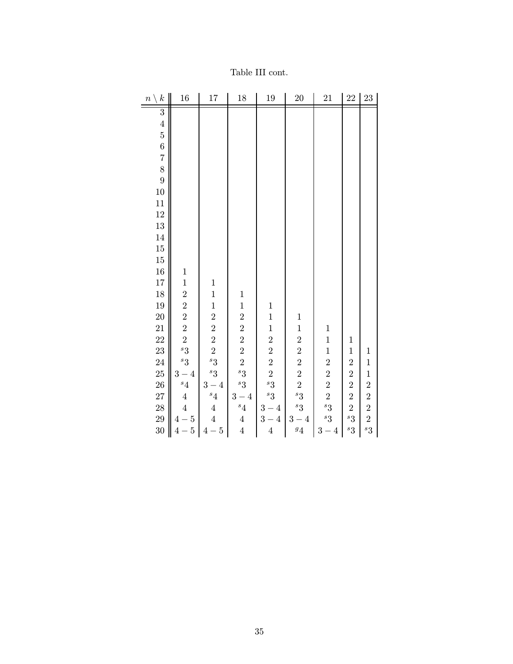| $\boldsymbol{k}$<br>$\boldsymbol{n}$ | 16                              | 17                                           | 18             | 19                                             | $20\,$                 | 21                                           | 22             | 23                      |
|--------------------------------------|---------------------------------|----------------------------------------------|----------------|------------------------------------------------|------------------------|----------------------------------------------|----------------|-------------------------|
| $\overline{3}$                       |                                 |                                              |                |                                                |                        |                                              |                |                         |
|                                      |                                 |                                              |                |                                                |                        |                                              |                |                         |
| $4\,5\,6\,7\,8$                      |                                 |                                              |                |                                                |                        |                                              |                |                         |
|                                      |                                 |                                              |                |                                                |                        |                                              |                |                         |
|                                      |                                 |                                              |                |                                                |                        |                                              |                |                         |
|                                      |                                 |                                              |                |                                                |                        |                                              |                |                         |
| $\overline{9}$                       |                                 |                                              |                |                                                |                        |                                              |                |                         |
| 10                                   |                                 |                                              |                |                                                |                        |                                              |                |                         |
| 11                                   |                                 |                                              |                |                                                |                        |                                              |                |                         |
| 12                                   |                                 |                                              |                |                                                |                        |                                              |                |                         |
| 13                                   |                                 |                                              |                |                                                |                        |                                              |                |                         |
| 14                                   |                                 |                                              |                |                                                |                        |                                              |                |                         |
| $15\,$                               |                                 |                                              |                |                                                |                        |                                              |                |                         |
| $15\,$                               |                                 |                                              |                |                                                |                        |                                              |                |                         |
| 16                                   | $\mathbf 1$                     |                                              |                |                                                |                        |                                              |                |                         |
| 17                                   | $\mathbf{1}$                    | $\mathbf{1}$                                 |                |                                                |                        |                                              |                |                         |
| 18                                   | $\overline{2}$                  | $\mathbf{1}$                                 | $\,1$          |                                                |                        |                                              |                |                         |
| 19                                   | $\frac{2}{2}$                   | $\mathbf{1}$                                 | $\mathbf{1}$   | $\mathbf{1}$                                   |                        |                                              |                |                         |
| <b>20</b>                            |                                 |                                              | $\overline{2}$ | $\mathbf{1}$                                   | $\mathbf 1$            |                                              |                |                         |
| 21                                   | $\overline{2}$                  |                                              | $\overline{2}$ |                                                | $\mathbf{1}$           | $\mathbf{1}$                                 |                |                         |
| 22                                   | $\overline{2}$                  | $\begin{array}{c} 2 \ 2 \ 2 \ 2 \end{array}$ | $\overline{2}$ | $\begin{array}{c} 1\\ 2\\ 2\\ 2\\ \end{array}$ | $\overline{2}$         | $\mathbf{1}$                                 | $\mathbf{1}$   |                         |
| 23                                   | $^{s}3$                         |                                              | $\overline{2}$ |                                                | $\overline{2}$         | $\mathbf{1}$                                 | $\mathbf{1}$   | $\mathbf{1}$            |
| 24                                   | $^{s}3$                         | ${}^{s}3$                                    | $\overline{2}$ |                                                | $\overline{2}$         |                                              | $\overline{2}$ | $\mathbf{1}$            |
| 25                                   | $3-4$                           | ${}^{s}3$                                    | $^{s}3$        |                                                | $\overline{2}$         |                                              | $\overline{2}$ | $\mathbf{1}$            |
| <b>26</b>                            | $\mathfrak{s}_4$                | $3-4$                                        | ${}^{s}3$      | ${}^{s}3$<br>${}^{s}3$                         | $\overline{2}$         | $\begin{array}{c} 2 \ 2 \ 2 \ 2 \end{array}$ | $\frac{2}{2}$  | $\overline{\mathbf{c}}$ |
| 27                                   | $\overline{4}$                  | $^s4$                                        | $3-4$<br>$s_4$ |                                                | ${}^{s}3$<br>${}^{s}3$ | ${}^{s}3$                                    | $\overline{2}$ | $\overline{2}$          |
| 28                                   | $\overline{4}$                  | $\boldsymbol{4}$<br>$\overline{4}$           |                | $3-4$                                          |                        | ${}^{s}3$                                    | ${}^{s}3$      | $\frac{2}{2}$           |
| 29                                   | $4\mathrm{-}5$                  |                                              | $\overline{4}$ | $3-4$                                          | $3-4$                  |                                              |                |                         |
| 30                                   | $-5$<br>$\overline{\mathbf{4}}$ | $4-5$                                        | $\overline{4}$ | $\overline{4}$                                 | $\frac{g_4}{4}$        | $3-4$                                        | ${}^{s}3$      | $^{s}3$                 |

Table III cont.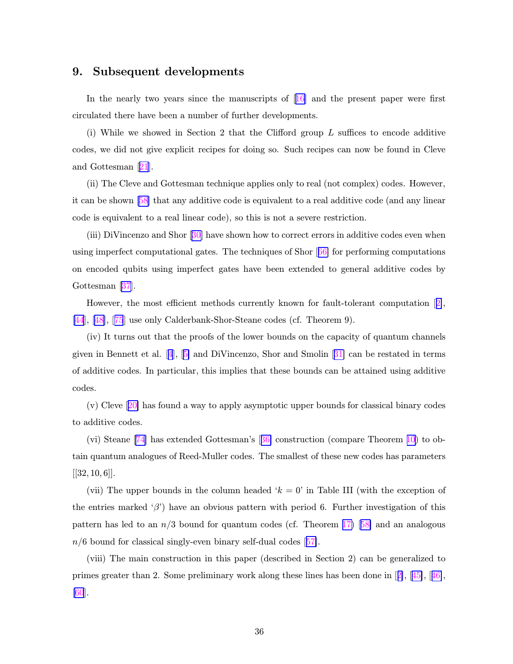### 9. Subsequent developments

In the nearly two years since the manuscripts of  $[16]$  $[16]$  and the present paper were first circulated there have been a number of further developments.

(i) While we showed in Section 2 that the Clifford group  $L$  suffices to encode additive codes, we did not give explicit recipes for doing so. Such recipes can now be found in Cleve and Gottesman [[21](#page-42-0)].

(ii) The Cleve and Gottesman technique applies only to real (not complex) codes. However, it can be shown [[58\]](#page-45-0) that any additive code is equivalent to a real additive code (and any linear code is equivalent to a real linear code), so this is not a severe restriction.

(iii) DiVincenzo and Shor  $[30]$  $[30]$  have shown how to correct errors in additive codes even when using imperfect computational gates. The techniques of Shor [[66\]](#page-45-0) for performing computations on encoded qubits using imperfect gates have been extended to general additive codes by Gottesman [\[37](#page-43-0)].

However, the most efficient methods currently known for fault-tolerant computation [[2\]](#page-41-0), [\[44](#page-44-0)], [[48\]](#page-44-0), [[75](#page-46-0)] use only Calderbank-Shor-Steane codes (cf. Theorem 9).

(iv) It turns out that the proofs of the lower bounds on the capacity of quantum channels given in Bennett et al. [[4](#page-41-0)], [[5\]](#page-41-0) and DiVincenzo, Shor and Smolin [[31\]](#page-43-0) can be restated in terms of additive codes. In particular, this implies that these bounds can be attained using additive codes.

(v) Cleve [[20\]](#page-42-0) has found a way to apply asymptotic upper bounds for classical binary codes to additive codes.

(vi) Steane [\[74](#page-46-0)] has extended Gottesman's [[36\]](#page-43-0) construction (compare Theorem [10\)](#page-15-0) to obtain quantum analogues of Reed-Muller codes. The smallest of these new codes has parameters  $[32, 10, 6]$ .

(vii) The upper bounds in the column headed  $k = 0$  in Table III (with the exception of the entries marked ' $\beta$ ') have an obvious pattern with period 6. Further investigation of this pattern has led to an  $n/3$  bound for quantum codes (cf. Theorem [17\)](#page-23-0) [[58\]](#page-45-0) and an analogous  $n/6$  bound for classical singly-even binary self-dual codes  $\sqrt{57}$ .

(viii) The main construction in this paper (described in Section 2) can be generalized to primes greater than 2. Some preliminary work along these lines has been done in [[2\]](#page-41-0), [[45\]](#page-44-0), [[46\]](#page-44-0),  $|60|$ .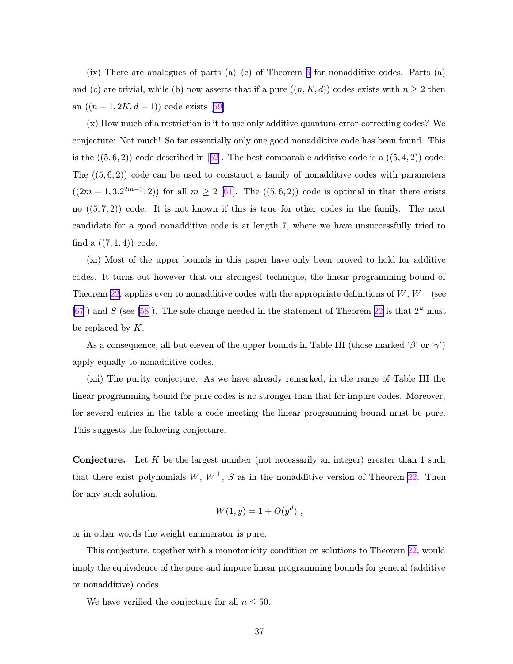(ix) There are analogues of parts  $(a)-(c)$  of Theorem [6](#page-13-0) for nonadditive codes. Parts  $(a)$ and (c) are trivial, while (b) now asserts that if a pure  $((n, K, d))$  codes exists with  $n \geq 2$  then an  $((n-1, 2K, d-1))$  code exists [[59\]](#page-45-0).

(x) How much of a restriction is it to use only additive quantum-error-correcting codes? We conjecture: Not much! So far essentially only one good nonadditive code has been found. This is the  $((5,6,2))$  code described in [[62](#page-45-0)]. The best comparable additive code is a  $((5,4,2))$  code. The  $((5, 6, 2))$  code can be used to construct a family of nonadditive codes with parameters  $((2m + 1, 3.2^{2m-3}, 2))$  for all  $m \ge 2$  [[61\]](#page-45-0). The  $((5, 6, 2))$  code is optimal in that there exists no  $((5,7,2))$  code. It is not known if this is true for other codes in the family. The next candidate for a good nonadditive code is at length 7, where we have unsuccessfully tried to find a  $((7, 1, 4))$  code.

(xi) Most of the upper bounds in this paper have only been proved to hold for additive codes. It turns out however that our strongest technique, the linear programming bound of Theorem [22,](#page-27-0) applies even to nonadditive codes with the appropriate definitions of  $W, W^{\perp}$  (see  $[67]$  $[67]$  and S (see [\[58\]](#page-45-0)). The sole change needed in the statement of Theorem [22](#page-27-0) is that  $2^k$  must be replaced by  $K$ .

As a consequence, all but eleven of the upper bounds in Table III (those marked ' $\beta$ ' or ' $\gamma$ ') apply equally to nonadditive codes.

(xii) The purity conjecture. As we have already remarked, in the range of Table III the linear programming bound for pure codes is no stronger than that for impure codes. Moreover, for several entries in the table a code meeting the linear programming bound must be pure. This suggests the following conjecture.

**Conjecture.** Let K be the largest number (not necessarily an integer) greater than 1 such that there exist polynomials W,  $W^{\perp}$ , S as in the nonadditive version of Theorem [22.](#page-27-0) Then for any such solution,

$$
W(1, y) = 1 + O(y^d) ,
$$

or in other words the weight enumerator is pure.

This conjecture, together with a monotonicity condition on solutions to Theorem [22,](#page-27-0) would imply the equivalence of the pure and impure linear programming bounds for general (additive or nonadditive) codes.

We have verified the conjecture for all  $n \leq 50$ .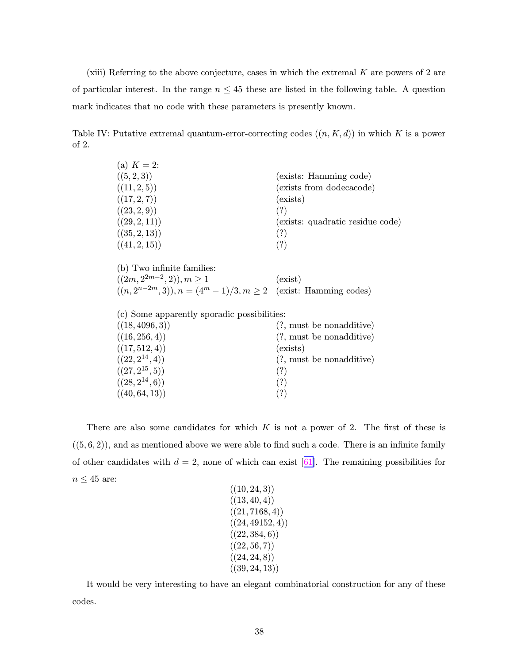(xiii) Referring to the above conjecture, cases in which the extremal  $K$  are powers of 2 are of particular interest. In the range  $n \leq 45$  these are listed in the following table. A question mark indicates that no code with these parameters is presently known.

Table IV: Putative extremal quantum-error-correcting codes  $((n, K, d))$  in which K is a power of 2.

| (a) $K = 2$ : |                                  |
|---------------|----------------------------------|
| ((5,2,3))     | (exists: Hamming code)           |
| ((11, 2, 5))  | (exists from dodecacode)         |
| ((17, 2, 7))  | (exists)                         |
| ((23, 2, 9))  | (?)                              |
| ((29, 2, 11)) | (exists: quadratic residue code) |
| ((35, 2, 13)) | (?)                              |
| ((41, 2, 15)) | (?)                              |

(b) Two infinite families:  $((2m, 2^{2m-2})$  $(0, 2), m \ge 1$  (exist)  $((n, 2^{n-2m}, 3)), n = (4^m - 1)/3, m \ge 2$  (exist: Hamming codes)

(c) Some apparently sporadic possibilities:

| ((18, 4096, 3))     | $(?, \text{ must be nonadditive})$ |
|---------------------|------------------------------------|
| ((16, 256, 4))      | $(?, \text{ must be nonadditive})$ |
| ((17, 512, 4))      | (exists)                           |
| $((22, 2^{14}, 4))$ | $(?, \text{ must be nonadditive})$ |
| $((27, 2^{15}, 5))$ | (?)                                |
| $((28, 2^{14}, 6))$ | (?)                                |
| ((40, 64, 13))      | (?)                                |
|                     |                                    |

There are also some candidates for which  $K$  is not a power of 2. The first of these is  $((5,6,2))$ , and as mentioned above we were able to find such a code. There is an infinite family of other candidates with  $d = 2$ , none of which can exist [[61\]](#page-45-0). The remaining possibilities for  $n\leq 45$  are:

```
((10, 24, 3))((13, 40, 4))((21, 7168, 4))((24, 49152, 4))((22, 384, 6))((22, 56, 7))((24, 24, 8))((39, 24, 13))
```
It would be very interesting to have an elegant combinatorial construction for any of these codes.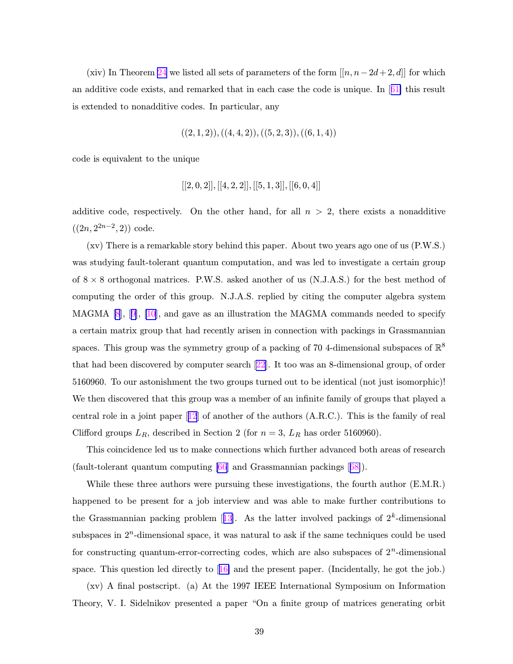(xiv) In Theorem [24](#page-30-0) we listed all sets of parameters of the form  $[[n, n-2d+2, d]]$  for which an additive code exists, and remarked that in each case the code is unique. In  $[61]$  $[61]$  this result is extended to nonadditive codes. In particular, any

$$
((2,1,2)), ((4,4,2)), ((5,2,3)), ((6,1,4))
$$

code is equivalent to the unique

$$
\lbrack\lbrack2,0,2\rbrack\rbrack,\lbrack\lbrack4,2,2\rbrack\rbrack,\lbrack\lbrack5,1,3\rbrack\rbrack,\lbrack\lbrack6,0,4\rbrack\rbrack
$$

additive code, respectively. On the other hand, for all  $n > 2$ , there exists a nonadditive  $((2n, 2^{2n-2}, 2))$  code.

(xv) There is a remarkable story behind this paper. About two years ago one of us (P.W.S.) was studying fault-tolerant quantum computation, and was led to investigate a certain group of  $8 \times 8$  orthogonal matrices. P.W.S. asked another of us  $(N.J.A.S.)$  for the best method of computing the order of this group. N.J.A.S. replied by citing the computer algebra system MAGMA  $[8]$  $[8]$  $[8]$ ,  $[9]$  $[9]$ ,  $[10]$ , and gave as an illustration the MAGMA commands needed to specify a certain matrix group that had recently arisen in connection with packings in Grassmannian spaces. This group was the symmetry group of a packing of 70 4-dimensional subspaces of  $\mathbb{R}^8$ that had been discovered by computer search [[22\]](#page-42-0). It too was an 8-dimensional group, of order 5160960. To our astonishment the two groups turned out to be identical (not just isomorphic)! We then discovered that this group was a member of an infinite family of groups that played a central role in a joint paper [[12](#page-42-0)] of another of the authors (A.R.C.). This is the family of real Clifford groups  $L_R$ , described in Section 2 (for  $n = 3$ ,  $L_R$  has order 5160960).

This coincidence led us to make connections which further advanced both areas of research (fault-tolerant quantum computing [[66\]](#page-45-0) and Grassmannian packings [[68\]](#page-45-0)).

While these three authors were pursuing these investigations, the fourth author (E.M.R.) happened to be present for a job interview and was able to make further contributions to the Grassmannian packing problem  $[13]$  $[13]$  $[13]$ . As the latter involved packings of  $2<sup>k</sup>$ -dimensional subspaces in  $2<sup>n</sup>$ -dimensional space, it was natural to ask if the same techniques could be used for constructing quantum-error-correcting codes, which are also subspaces of  $2<sup>n</sup>$ -dimensional space. This question led directly to  $[16]$  $[16]$  and the present paper. (Incidentally, he got the job.)

(xv) A final postscript. (a) At the 1997 IEEE International Symposium on Information Theory, V. I. Sidelnikov presented a paper "On a finite group of matrices generating orbit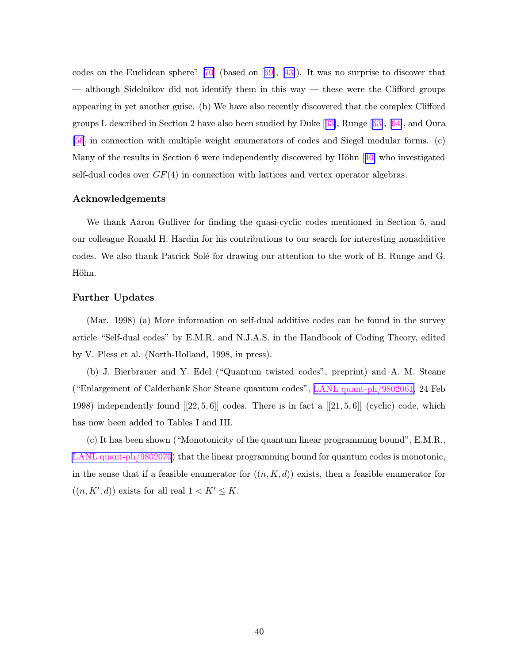codes on the Euclidean sphere"  $[70]$  $[70]$  (based on  $[69]$  $[69]$ ,  $[43]$  $[43]$ ). It was no surprise to discover that — although Sidelnikov did not identify them in this way — these were the Clifford groups appearing in yet another guise. (b) We have also recently discovered that the complex Clifford groups L described in Section 2 have also been studied by Duke [[33](#page-43-0)], Runge [[63\]](#page-45-0), [[64\]](#page-45-0), and Oura [\[56](#page-45-0)] in connection with multiple weight enumerators of codes and Siegel modular forms. (c) Many of the results in Section 6 were independently discovered by Höhn  $[40]$  $[40]$  who investigated self-dual codes over  $GF(4)$  in connection with lattices and vertex operator algebras.

#### Acknowledgements

We thank Aaron Gulliver for finding the quasi-cyclic codes mentioned in Section 5, and our colleague Ronald H. Hardin for his contributions to our search for interesting nonadditive codes. We also thank Patrick Solé for drawing our attention to the work of B. Runge and G. Höhn.

### Further Updates

(Mar. 1998) (a) More information on self-dual additive codes can be found in the survey article "Self-dual codes" by E.M.R. and N.J.A.S. in the Handbook of Coding Theory, edited by V. Pless et al. (North-Holland, 1998, in press).

(b) J. Bierbrauer and Y. Edel ("Quantum twisted codes", preprint) and A. M. Steane ("Enlargement of Calderbank Shor Steane quantum codes", LANL [quant-ph/9802061,](http://xxx.lanl.gov/abs/quant-ph/9802061) 24 Feb 1998) independently found  $[22, 5, 6]$  codes. There is in fact a  $[21, 5, 6]$  (cyclic) code, which has now been added to Tables I and III.

(c) It has been shown ("Monotonicity of the quantum linear programming bound", E.M.R., LANL [quant-ph/9802070](http://xxx.lanl.gov/abs/quant-ph/9802061)) that the linear programming bound for quantum codes is monotonic, in the sense that if a feasible enumerator for  $((n, K, d))$  exists, then a feasible enumerator for  $((n, K', d))$  exists for all real  $1 < K' \leq K$ .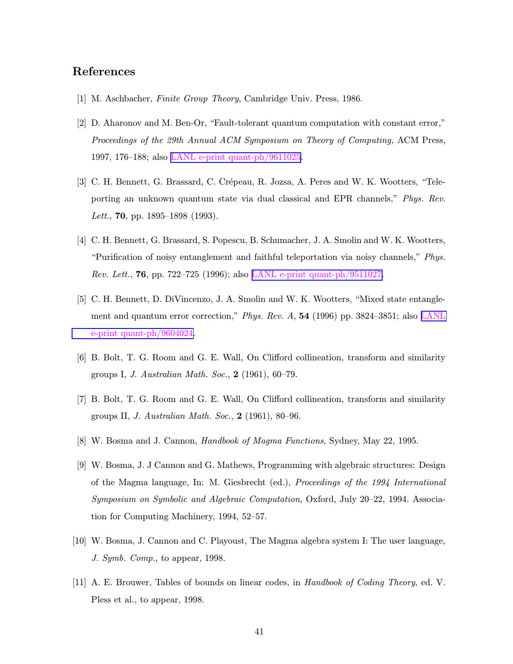## <span id="page-41-0"></span>References

- [1] M. Aschbacher, Finite Group Theory, Cambridge Univ. Press, 1986.
- [2] D. Aharonov and M. Ben-Or, "Fault-tolerant quantum computation with constant error," Proceedings of the 29th Annual ACM Symposium on Theory of Computing, ACM Press, 1997, 176–188; also LANL e-print [quant-ph/9611025.](http://xxx.lanl.gov/abs/quant-ph/9802061)
- [3] C. H. Bennett, G. Brassard, C. Crépeau, R. Jozsa, A. Peres and W. K. Wootters, "Teleporting an unknown quantum state via dual classical and EPR channels," Phys. Rev. Lett., 70, pp. 1895–1898 (1993).
- [4] C. H. Bennett, G. Brassard, S. Popescu, B. Schumacher, J. A. Smolin and W. K. Wootters, "Purification of noisy entanglement and faithful teleportation via noisy channels," Phys. *Rev. Lett.*, **76**, pp. 722–725 (1996); also LANL e-print [quant-ph/9511027.](http://xxx.lanl.gov/abs/quant-ph/9802061)
- [5] C. H. Bennett, D. DiVincenzo, J. A. Smolin and W. K. Wootters, "Mixed state entanglement and quantum error correction," Phys. Rev. A, 54 (1996) pp. 3824–3851; also [LANL](http://xxx.lanl.gov/abs/quant-ph/9802061) e-print [quant-ph/9604024.](http://xxx.lanl.gov/abs/quant-ph/9802061)
- [6] B. Bolt, T. G. Room and G. E. Wall, On Clifford collineation, transform and similarity groups I, J. Australian Math. Soc., 2 (1961), 60–79.
- [7] B. Bolt, T. G. Room and G. E. Wall, On Clifford collineation, transform and similarity groups II, J. Australian Math. Soc., 2 (1961), 80–96.
- [8] W. Bosma and J. Cannon, Handbook of Magma Functions, Sydney, May 22, 1995.
- [9] W. Bosma, J. J Cannon and G. Mathews, Programming with algebraic structures: Design of the Magma language, In: M. Giesbrecht (ed.), Proceedings of the 1994 International Symposium on Symbolic and Algebraic Computation, Oxford, July 20–22, 1994. Association for Computing Machinery, 1994, 52–57.
- [10] W. Bosma, J. Cannon and C. Playoust, The Magma algebra system I: The user language, J. Symb. Comp., to appear, 1998.
- [11] A. E. Brouwer, Tables of bounds on linear codes, in Handbook of Coding Theory, ed. V. Pless et al., to appear, 1998.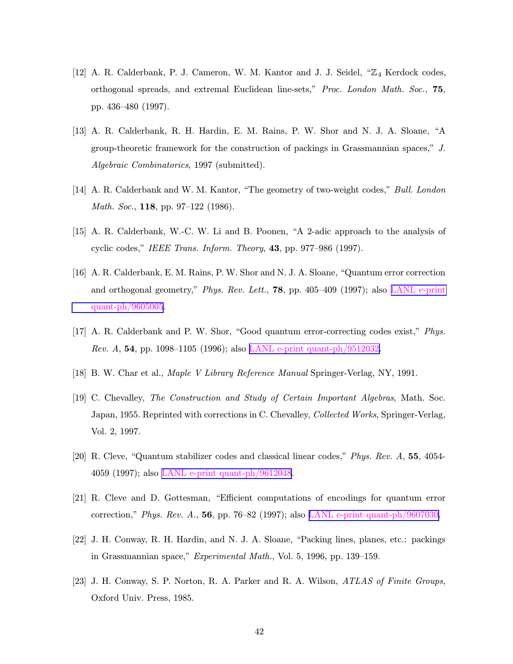- <span id="page-42-0"></span>[12] A. R. Calderbank, P. J. Cameron, W. M. Kantor and J. J. Seidel, "Z<sub>4</sub> Kerdock codes, orthogonal spreads, and extremal Euclidean line-sets," Proc. London Math. Soc., 75, pp. 436–480 (1997).
- [13] A. R. Calderbank, R. H. Hardin, E. M. Rains, P. W. Shor and N. J. A. Sloane, "A group-theoretic framework for the construction of packings in Grassmannian spaces," J. Algebraic Combinatorics, 1997 (submitted).
- [14] A. R. Calderbank and W. M. Kantor, "The geometry of two-weight codes," Bull. London Math. Soc., **118**, pp. 97-122 (1986).
- [15] A. R. Calderbank, W.-C. W. Li and B. Poonen, "A 2-adic approach to the analysis of cyclic codes," IEEE Trans. Inform. Theory, 43, pp. 977–986 (1997).
- [16] A. R. Calderbank, E. M. Rains, P. W. Shor and N. J. A. Sloane, "Quantum error correction and orthogonal geometry," Phys. Rev. Lett., 78, pp. 405–409 (1997); also LANL [e-print](http://xxx.lanl.gov/abs/quant-ph/9802061) [quant-ph/9605005.](http://xxx.lanl.gov/abs/quant-ph/9802061)
- [17] A. R. Calderbank and P. W. Shor, "Good quantum error-correcting codes exist," Phys. Rev. A, 54, pp. 1098–1105 (1996); also LANL e-print [quant-ph/9512032.](http://xxx.lanl.gov/abs/quant-ph/9802061)
- [18] B. W. Char et al., Maple V Library Reference Manual Springer-Verlag, NY, 1991.
- [19] C. Chevalley, The Construction and Study of Certain Important Algebras, Math. Soc. Japan, 1955. Reprinted with corrections in C. Chevalley, Collected Works, Springer-Verlag, Vol. 2, 1997.
- [20] R. Cleve, "Quantum stabilizer codes and classical linear codes," Phys. Rev. A, 55, 4054- 4059 (1997); also LANL e-print [quant-ph/9612048](http://xxx.lanl.gov/abs/quant-ph/9802061).
- [21] R. Cleve and D. Gottesman, "Efficient computations of encodings for quantum error correction," Phys. Rev. A., 56, pp. 76–82 (1997); also LANL e-print [quant-ph/9607030.](http://xxx.lanl.gov/abs/quant-ph/9802061)
- [22] J. H. Conway, R. H. Hardin, and N. J. A. Sloane, "Packing lines, planes, etc.: packings in Grassmannian space," Experimental Math., Vol. 5, 1996, pp. 139–159.
- [23] J. H. Conway, S. P. Norton, R. A. Parker and R. A. Wilson, ATLAS of Finite Groups, Oxford Univ. Press, 1985.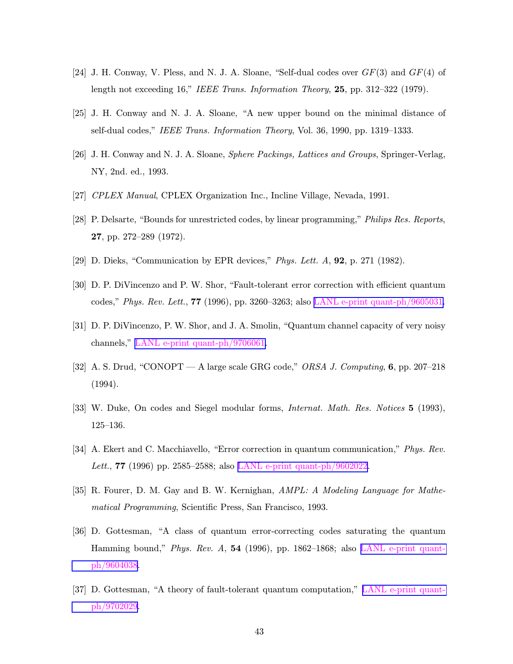- <span id="page-43-0"></span>[24] J. H. Conway, V. Pless, and N. J. A. Sloane, "Self-dual codes over  $GF(3)$  and  $GF(4)$  of length not exceeding 16," IEEE Trans. Information Theory, 25, pp. 312–322 (1979).
- [25] J. H. Conway and N. J. A. Sloane, "A new upper bound on the minimal distance of self-dual codes," IEEE Trans. Information Theory, Vol. 36, 1990, pp. 1319–1333.
- [26] J. H. Conway and N. J. A. Sloane, Sphere Packings, Lattices and Groups, Springer-Verlag, NY, 2nd. ed., 1993.
- [27] CPLEX Manual, CPLEX Organization Inc., Incline Village, Nevada, 1991.
- [28] P. Delsarte, "Bounds for unrestricted codes, by linear programming," Philips Res. Reports, 27, pp. 272–289 (1972).
- [29] D. Dieks, "Communication by EPR devices," Phys. Lett. A, 92, p. 271 (1982).
- [30] D. P. DiVincenzo and P. W. Shor, "Fault-tolerant error correction with efficient quantum codes," Phys. Rev. Lett., 77 (1996), pp. 3260–3263; also LANL e-print [quant-ph/9605031.](http://xxx.lanl.gov/abs/quant-ph/9802061)
- [31] D. P. DiVincenzo, P. W. Shor, and J. A. Smolin, "Quantum channel capacity of very noisy channels," LANL e-print [quant-ph/9706061.](http://xxx.lanl.gov/abs/quant-ph/9802061)
- [32] A. S. Drud, "CONOPT A large scale GRG code," ORSA J. Computing, 6, pp. 207–218 (1994).
- [33] W. Duke, On codes and Siegel modular forms, Internat. Math. Res. Notices 5 (1993), 125–136.
- [34] A. Ekert and C. Macchiavello, "Error correction in quantum communication," Phys. Rev. Lett., **77** (1996) pp. 2585–2588; also LANL e-print [quant-ph/9602022.](http://xxx.lanl.gov/abs/quant-ph/9802061)
- [35] R. Fourer, D. M. Gay and B. W. Kernighan, AMPL: A Modeling Language for Mathematical Programming, Scientific Press, San Francisco, 1993.
- [36] D. Gottesman, "A class of quantum error-correcting codes saturating the quantum Hamming bound," Phys. Rev. A,  $54$  (1996), pp. 1862–1868; also LANL [e-print](http://xxx.lanl.gov/abs/quant-ph/9802061) quant[ph/9604038](http://xxx.lanl.gov/abs/quant-ph/9802061).
- [37] D. Gottesman, "A theory of fault-tolerant quantum computation," LANL [e-print](http://xxx.lanl.gov/abs/quant-ph/9802061) quant[ph/9702029](http://xxx.lanl.gov/abs/quant-ph/9802061).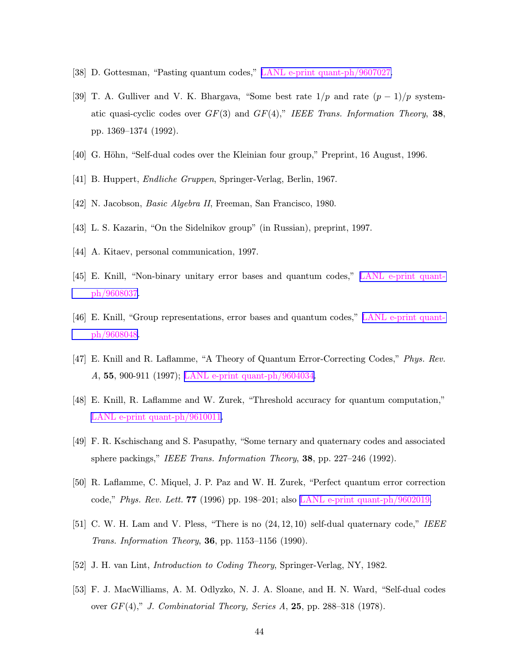- <span id="page-44-0"></span>[38] D. Gottesman, "Pasting quantum codes," LANL e-print [quant-ph/9607027.](http://xxx.lanl.gov/abs/quant-ph/9802061)
- [39] T. A. Gulliver and V. K. Bhargava, "Some best rate  $1/p$  and rate  $(p-1)/p$  systematic quasi-cyclic codes over  $GF(3)$  and  $GF(4)$ ," IEEE Trans. Information Theory, 38, pp. 1369–1374 (1992).
- [40] G. Höhn, "Self-dual codes over the Kleinian four group," Preprint, 16 August, 1996.
- [41] B. Huppert, Endliche Gruppen, Springer-Verlag, Berlin, 1967.
- [42] N. Jacobson, Basic Algebra II, Freeman, San Francisco, 1980.
- [43] L. S. Kazarin, "On the Sidelnikov group" (in Russian), preprint, 1997.
- [44] A. Kitaev, personal communication, 1997.
- [45] E. Knill, "Non-binary unitary error bases and quantum codes," LANL [e-print](http://xxx.lanl.gov/abs/quant-ph/9802061) quant[ph/9608037](http://xxx.lanl.gov/abs/quant-ph/9802061).
- [46] E. Knill, "Group representations, error bases and quantum codes," LANL [e-print](http://xxx.lanl.gov/abs/quant-ph/9802061) quant[ph/9608048](http://xxx.lanl.gov/abs/quant-ph/9802061).
- [47] E. Knill and R. Laflamme, "A Theory of Quantum Error-Correcting Codes," Phys. Rev. A, 55, 900-911 (1997); LANL e-print [quant-ph/9604034.](http://xxx.lanl.gov/abs/quant-ph/9802061)
- [48] E. Knill, R. Laflamme and W. Zurek, "Threshold accuracy for quantum computation," LANL e-print [quant-ph/9610011.](http://xxx.lanl.gov/abs/quant-ph/9802061)
- [49] F. R. Kschischang and S. Pasupathy, "Some ternary and quaternary codes and associated sphere packings," IEEE Trans. Information Theory, 38, pp. 227–246 (1992).
- [50] R. Laflamme, C. Miquel, J. P. Paz and W. H. Zurek, "Perfect quantum error correction code," Phys. Rev. Lett. 77 (1996) pp. 198–201; also LANL e-print [quant-ph/9602019.](http://xxx.lanl.gov/abs/quant-ph/9802061)
- [51] C. W. H. Lam and V. Pless, "There is no (24, 12, 10) self-dual quaternary code," IEEE *Trans. Information Theory*, **36**, pp. 1153–1156 (1990).
- [52] J. H. van Lint, Introduction to Coding Theory, Springer-Verlag, NY, 1982.
- [53] F. J. MacWilliams, A. M. Odlyzko, N. J. A. Sloane, and H. N. Ward, "Self-dual codes over  $GF(4)$ ," J. Combinatorial Theory, Series A, 25, pp. 288–318 (1978).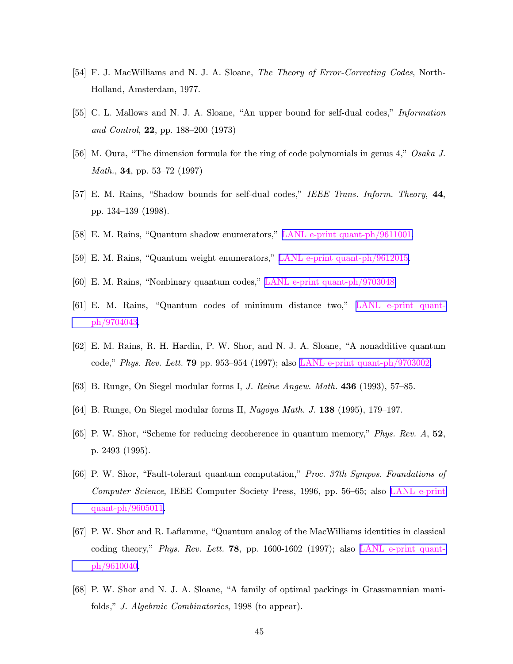- <span id="page-45-0"></span>[54] F. J. MacWilliams and N. J. A. Sloane, The Theory of Error-Correcting Codes, North-Holland, Amsterdam, 1977.
- [55] C. L. Mallows and N. J. A. Sloane, "An upper bound for self-dual codes," Information and Control, 22, pp. 188–200 (1973)
- [56] M. Oura, "The dimension formula for the ring of code polynomials in genus 4," Osaka J. Math., 34, pp. 53–72 (1997)
- [57] E. M. Rains, "Shadow bounds for self-dual codes," IEEE Trans. Inform. Theory, 44, pp. 134–139 (1998).
- [58] E. M. Rains, "Quantum shadow enumerators," LANL e-print [quant-ph/9611001.](http://xxx.lanl.gov/abs/quant-ph/9802061)
- [59] E. M. Rains, "Quantum weight enumerators," LANL e-print [quant-ph/9612015.](http://xxx.lanl.gov/abs/quant-ph/9802061)
- [60] E. M. Rains, "Nonbinary quantum codes," LANL e-print [quant-ph/9703048.](http://xxx.lanl.gov/abs/quant-ph/9802061)
- [61] E. M. Rains, "Quantum codes of minimum distance two," LANL [e-print](http://xxx.lanl.gov/abs/quant-ph/9802061) quant[ph/9704043](http://xxx.lanl.gov/abs/quant-ph/9802061).
- [62] E. M. Rains, R. H. Hardin, P. W. Shor, and N. J. A. Sloane, "A nonadditive quantum code," Phys. Rev. Lett. 79 pp. 953–954 (1997); also LANL e-print [quant-ph/9703002.](http://xxx.lanl.gov/abs/quant-ph/9802061)
- [63] B. Runge, On Siegel modular forms I, J. Reine Angew. Math. 436 (1993), 57–85.
- [64] B. Runge, On Siegel modular forms II, Nagoya Math. J. 138 (1995), 179–197.
- [65] P. W. Shor, "Scheme for reducing decoherence in quantum memory," Phys. Rev. A, 52, p. 2493 (1995).
- [66] P. W. Shor, "Fault-tolerant quantum computation," Proc. 37th Sympos. Foundations of Computer Science, IEEE Computer Society Press, 1996, pp. 56–65; also LANL [e-print](http://xxx.lanl.gov/abs/quant-ph/9802061) [quant-ph/9605011.](http://xxx.lanl.gov/abs/quant-ph/9802061)
- [67] P. W. Shor and R. Laflamme, "Quantum analog of the MacWilliams identities in classical coding theory," Phys. Rev. Lett. **78**, pp. 1600-1602 (1997); also LANL [e-print](http://xxx.lanl.gov/abs/quant-ph/9802061) quant[ph/9610040](http://xxx.lanl.gov/abs/quant-ph/9802061).
- [68] P. W. Shor and N. J. A. Sloane, "A family of optimal packings in Grassmannian manifolds," J. Algebraic Combinatorics, 1998 (to appear).